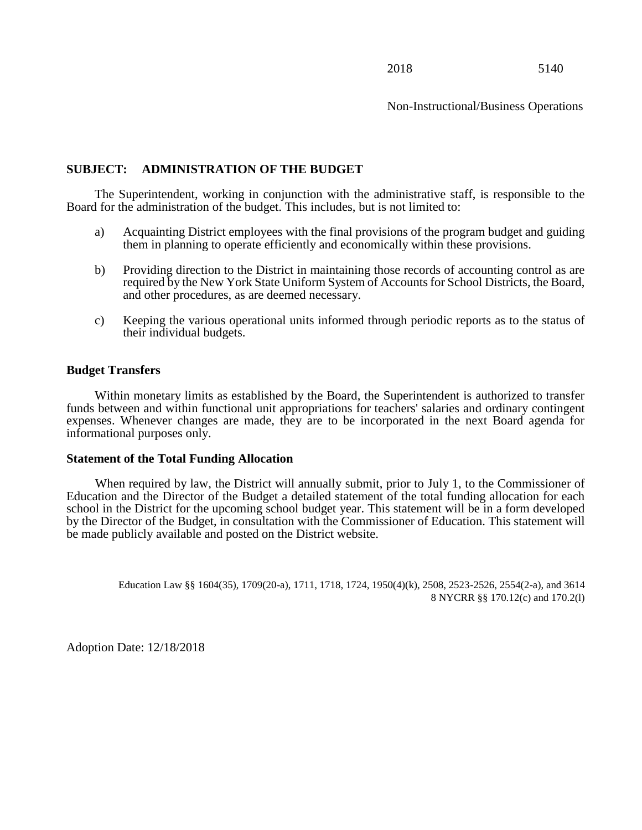Non-Instructional/Business Operations

## **SUBJECT: ADMINISTRATION OF THE BUDGET**

The Superintendent, working in conjunction with the administrative staff, is responsible to the Board for the administration of the budget. This includes, but is not limited to:

- a) Acquainting District employees with the final provisions of the program budget and guiding them in planning to operate efficiently and economically within these provisions.
- b) Providing direction to the District in maintaining those records of accounting control as are required by the New York State Uniform System of Accounts for School Districts, the Board, and other procedures, as are deemed necessary.
- c) Keeping the various operational units informed through periodic reports as to the status of their individual budgets.

### **Budget Transfers**

Within monetary limits as established by the Board, the Superintendent is authorized to transfer funds between and within functional unit appropriations for teachers' salaries and ordinary contingent expenses. Whenever changes are made, they are to be incorporated in the next Board agenda for informational purposes only.

### **Statement of the Total Funding Allocation**

When required by law, the District will annually submit, prior to July 1, to the Commissioner of Education and the Director of the Budget a detailed statement of the total funding allocation for each school in the District for the upcoming school budget year. This statement will be in a form developed by the Director of the Budget, in consultation with the Commissioner of Education. This statement will be made publicly available and posted on the District website.

Education Law §§ 1604(35), 1709(20-a), 1711, 1718, 1724, 1950(4)(k), 2508, 2523-2526, 2554(2-a), and 3614 8 NYCRR §§ 170.12(c) and 170.2(l)

Adoption Date: 12/18/2018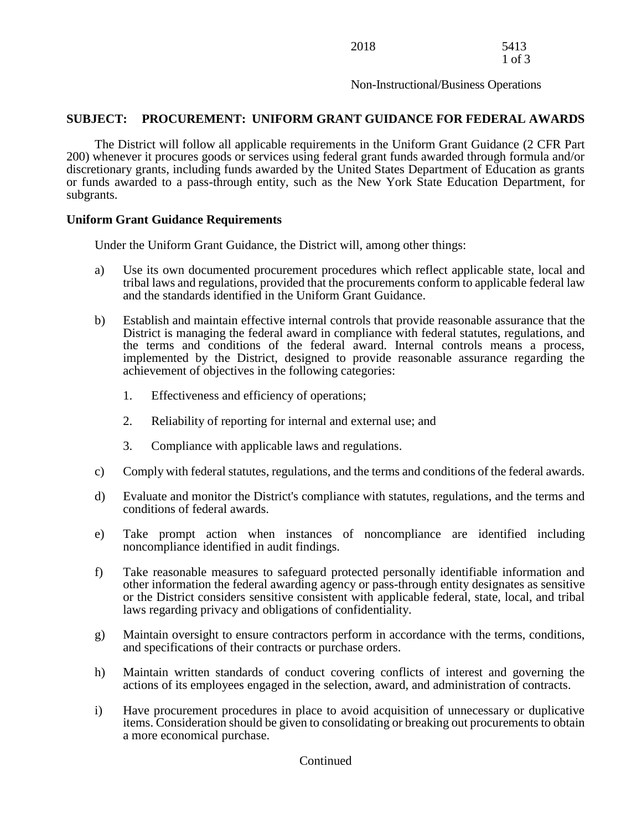1 of 3

Non-Instructional/Business Operations

# **SUBJECT: PROCUREMENT: UNIFORM GRANT GUIDANCE FOR FEDERAL AWARDS**

The District will follow all applicable requirements in the Uniform Grant Guidance (2 CFR Part 200) whenever it procures goods or services using federal grant funds awarded through formula and/or discretionary grants, including funds awarded by the United States Department of Education as grants or funds awarded to a pass-through entity, such as the New York State Education Department, for subgrants.

## **Uniform Grant Guidance Requirements**

Under the Uniform Grant Guidance, the District will, among other things:

- a) Use its own documented procurement procedures which reflect applicable state, local and tribal laws and regulations, provided that the procurements conform to applicable federal law and the standards identified in the Uniform Grant Guidance.
- b) Establish and maintain effective internal controls that provide reasonable assurance that the District is managing the federal award in compliance with federal statutes, regulations, and the terms and conditions of the federal award. Internal controls means a process, implemented by the District, designed to provide reasonable assurance regarding the achievement of objectives in the following categories:
	- 1. Effectiveness and efficiency of operations;
	- 2. Reliability of reporting for internal and external use; and
	- 3. Compliance with applicable laws and regulations.
- c) Comply with federal statutes, regulations, and the terms and conditions of the federal awards.
- d) Evaluate and monitor the District's compliance with statutes, regulations, and the terms and conditions of federal awards.
- e) Take prompt action when instances of noncompliance are identified including noncompliance identified in audit findings.
- f) Take reasonable measures to safeguard protected personally identifiable information and other information the federal awarding agency or pass-through entity designates as sensitive or the District considers sensitive consistent with applicable federal, state, local, and tribal laws regarding privacy and obligations of confidentiality.
- g) Maintain oversight to ensure contractors perform in accordance with the terms, conditions, and specifications of their contracts or purchase orders.
- h) Maintain written standards of conduct covering conflicts of interest and governing the actions of its employees engaged in the selection, award, and administration of contracts.
- i) Have procurement procedures in place to avoid acquisition of unnecessary or duplicative items. Consideration should be given to consolidating or breaking out procurements to obtain a more economical purchase.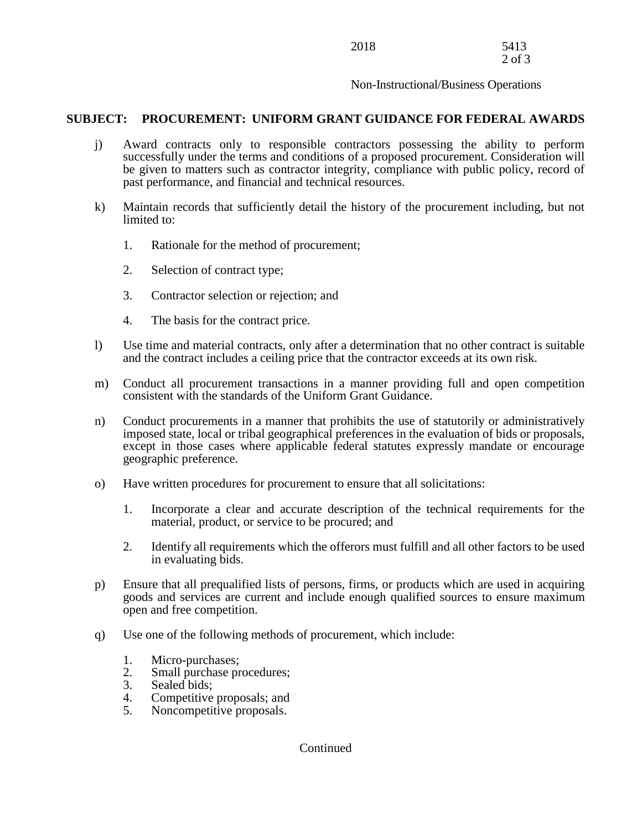Non-Instructional/Business Operations

# **SUBJECT: PROCUREMENT: UNIFORM GRANT GUIDANCE FOR FEDERAL AWARDS**

- j) Award contracts only to responsible contractors possessing the ability to perform successfully under the terms and conditions of a proposed procurement. Consideration will be given to matters such as contractor integrity, compliance with public policy, record of past performance, and financial and technical resources.
- k) Maintain records that sufficiently detail the history of the procurement including, but not limited to:
	- 1. Rationale for the method of procurement;
	- 2. Selection of contract type;
	- 3. Contractor selection or rejection; and
	- 4. The basis for the contract price.
- l) Use time and material contracts, only after a determination that no other contract is suitable and the contract includes a ceiling price that the contractor exceeds at its own risk.
- m) Conduct all procurement transactions in a manner providing full and open competition consistent with the standards of the Uniform Grant Guidance.
- n) Conduct procurements in a manner that prohibits the use of statutorily or administratively imposed state, local or tribal geographical preferences in the evaluation of bids or proposals, except in those cases where applicable federal statutes expressly mandate or encourage geographic preference.
- o) Have written procedures for procurement to ensure that all solicitations:
	- 1. Incorporate a clear and accurate description of the technical requirements for the material, product, or service to be procured; and
	- 2. Identify all requirements which the offerors must fulfill and all other factors to be used in evaluating bids.
- p) Ensure that all prequalified lists of persons, firms, or products which are used in acquiring goods and services are current and include enough qualified sources to ensure maximum open and free competition.
- q) Use one of the following methods of procurement, which include:
	- 1. Micro-purchases;
	- 2. Small purchase procedures;<br>3. Sealed bids:
	- Sealed bids;
	- 4. Competitive proposals; and<br>5. Noncompetitive proposals.
	- Noncompetitive proposals.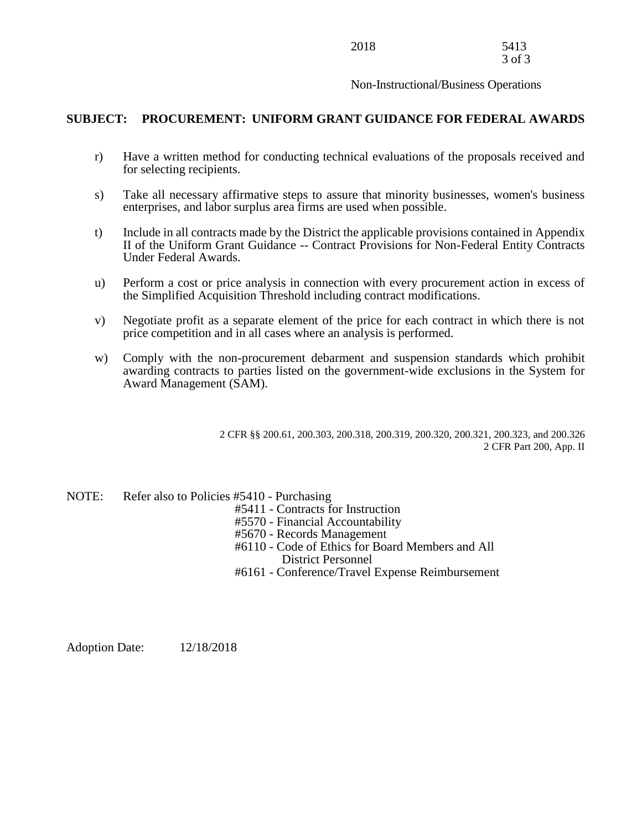3 of 3

Non-Instructional/Business Operations

# **SUBJECT: PROCUREMENT: UNIFORM GRANT GUIDANCE FOR FEDERAL AWARDS**

- r) Have a written method for conducting technical evaluations of the proposals received and for selecting recipients.
- s) Take all necessary affirmative steps to assure that minority businesses, women's business enterprises, and labor surplus area firms are used when possible.
- t) Include in all contracts made by the District the applicable provisions contained in Appendix II of the Uniform Grant Guidance -- Contract Provisions for Non-Federal Entity Contracts Under Federal Awards.
- u) Perform a cost or price analysis in connection with every procurement action in excess of the Simplified Acquisition Threshold including contract modifications.
- v) Negotiate profit as a separate element of the price for each contract in which there is not price competition and in all cases where an analysis is performed.
- w) Comply with the non-procurement debarment and suspension standards which prohibit awarding contracts to parties listed on the government-wide exclusions in the System for Award Management (SAM).

2 CFR §§ 200.61, 200.303, 200.318, 200.319, 200.320, 200.321, 200.323, and 200.326 2 CFR Part 200, App. II

NOTE: Refer also to Policies #5410 - Purchasing

- #5411 Contracts for Instruction
- #5570 Financial Accountability
- #5670 Records Management
- #6110 Code of Ethics for Board Members and All
	- District Personnel
- #6161 Conference/Travel Expense Reimbursement

Adoption Date: 12/18/2018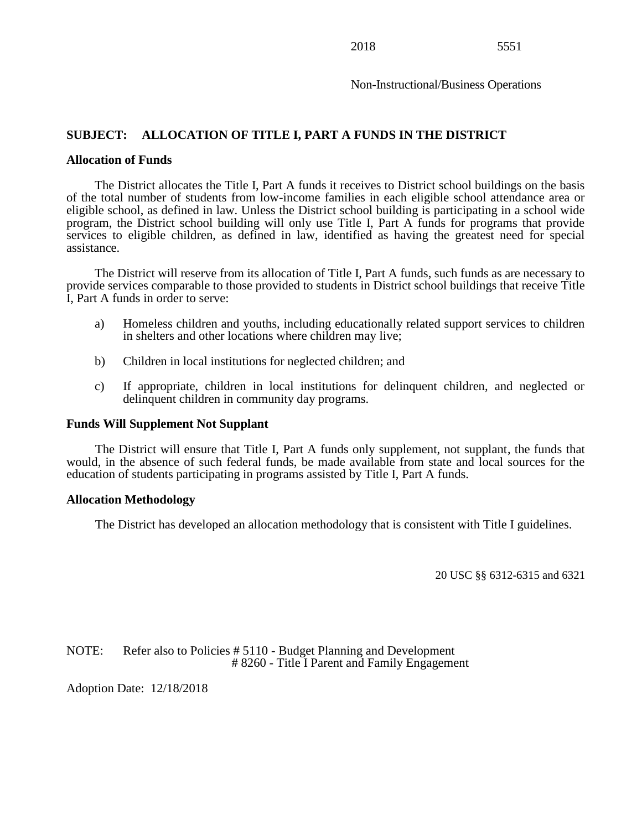Non-Instructional/Business Operations

## **SUBJECT: ALLOCATION OF TITLE I, PART A FUNDS IN THE DISTRICT**

#### **Allocation of Funds**

The District allocates the Title I, Part A funds it receives to District school buildings on the basis of the total number of students from low-income families in each eligible school attendance area or eligible school, as defined in law. Unless the District school building is participating in a school wide program, the District school building will only use Title I, Part A funds for programs that provide services to eligible children, as defined in law, identified as having the greatest need for special assistance.

The District will reserve from its allocation of Title I, Part A funds, such funds as are necessary to provide services comparable to those provided to students in District school buildings that receive Title I, Part A funds in order to serve:

- a) Homeless children and youths, including educationally related support services to children in shelters and other locations where children may live;
- b) Children in local institutions for neglected children; and
- c) If appropriate, children in local institutions for delinquent children, and neglected or delinquent children in community day programs.

### **Funds Will Supplement Not Supplant**

The District will ensure that Title I, Part A funds only supplement, not supplant, the funds that would, in the absence of such federal funds, be made available from state and local sources for the education of students participating in programs assisted by Title I, Part A funds.

#### **Allocation Methodology**

The District has developed an allocation methodology that is consistent with Title I guidelines.

20 USC §§ 6312-6315 and 6321

NOTE: Refer also to Policies # 5110 - Budget Planning and Development # 8260 - Title I Parent and Family Engagement

Adoption Date: 12/18/2018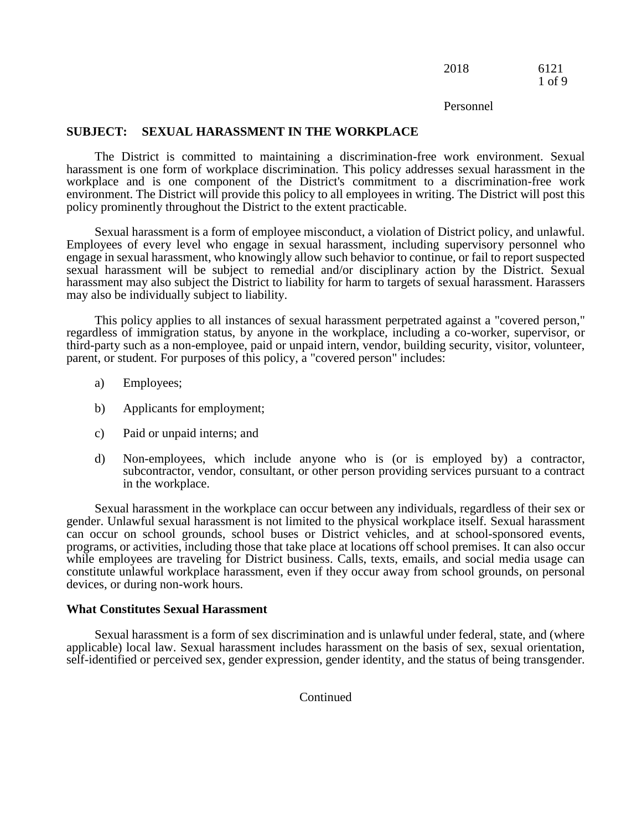### 2018 6121 1 of 9

Personnel

### **SUBJECT: SEXUAL HARASSMENT IN THE WORKPLACE**

The District is committed to maintaining a discrimination-free work environment. Sexual harassment is one form of workplace discrimination. This policy addresses sexual harassment in the workplace and is one component of the District's commitment to a discrimination-free work environment. The District will provide this policy to all employees in writing. The District will post this policy prominently throughout the District to the extent practicable.

Sexual harassment is a form of employee misconduct, a violation of District policy, and unlawful. Employees of every level who engage in sexual harassment, including supervisory personnel who engage in sexual harassment, who knowingly allow such behavior to continue, or fail to report suspected sexual harassment will be subject to remedial and/or disciplinary action by the District. Sexual harassment may also subject the District to liability for harm to targets of sexual harassment. Harassers may also be individually subject to liability.

This policy applies to all instances of sexual harassment perpetrated against a "covered person," regardless of immigration status, by anyone in the workplace, including a co-worker, supervisor, or third-party such as a non-employee, paid or unpaid intern, vendor, building security, visitor, volunteer, parent, or student. For purposes of this policy, a "covered person" includes:

- a) Employees;
- b) Applicants for employment;
- c) Paid or unpaid interns; and
- d) Non-employees, which include anyone who is (or is employed by) a contractor, subcontractor, vendor, consultant, or other person providing services pursuant to a contract in the workplace.

Sexual harassment in the workplace can occur between any individuals, regardless of their sex or gender. Unlawful sexual harassment is not limited to the physical workplace itself. Sexual harassment can occur on school grounds, school buses or District vehicles, and at school-sponsored events, programs, or activities, including those that take place at locations off school premises. It can also occur while employees are traveling for District business. Calls, texts, emails, and social media usage can constitute unlawful workplace harassment, even if they occur away from school grounds, on personal devices, or during non-work hours.

### **What Constitutes Sexual Harassment**

Sexual harassment is a form of sex discrimination and is unlawful under federal, state, and (where applicable) local law. Sexual harassment includes harassment on the basis of sex, sexual orientation, self-identified or perceived sex, gender expression, gender identity, and the status of being transgender.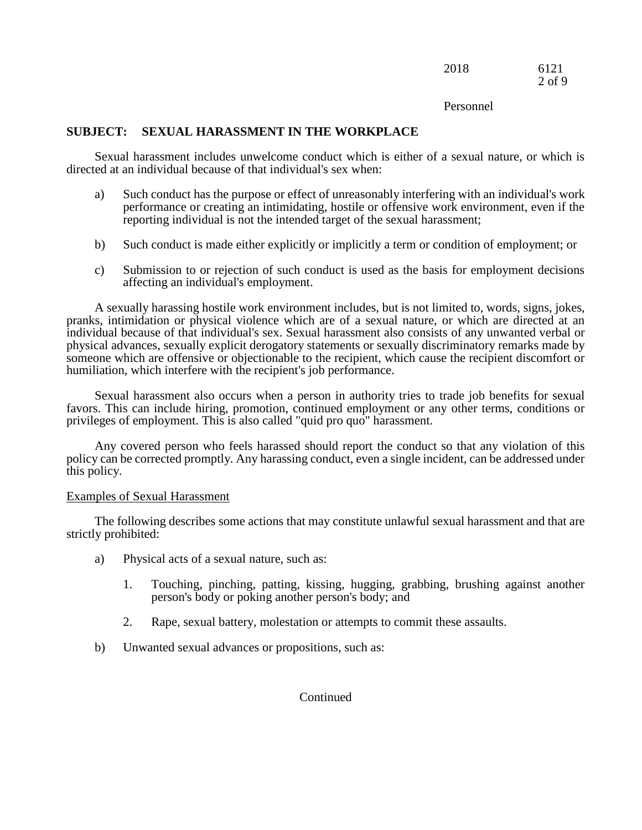## 2018 6121 2 of 9

### Personnel

## **SUBJECT: SEXUAL HARASSMENT IN THE WORKPLACE**

Sexual harassment includes unwelcome conduct which is either of a sexual nature, or which is directed at an individual because of that individual's sex when:

- a) Such conduct has the purpose or effect of unreasonably interfering with an individual's work performance or creating an intimidating, hostile or offensive work environment, even if the reporting individual is not the intended target of the sexual harassment;
- b) Such conduct is made either explicitly or implicitly a term or condition of employment; or
- c) Submission to or rejection of such conduct is used as the basis for employment decisions affecting an individual's employment.

A sexually harassing hostile work environment includes, but is not limited to, words, signs, jokes, pranks, intimidation or physical violence which are of a sexual nature, or which are directed at an individual because of that individual's sex. Sexual harassment also consists of any unwanted verbal or physical advances, sexually explicit derogatory statements or sexually discriminatory remarks made by someone which are offensive or objectionable to the recipient, which cause the recipient discomfort or humiliation, which interfere with the recipient's job performance.

Sexual harassment also occurs when a person in authority tries to trade job benefits for sexual favors. This can include hiring, promotion, continued employment or any other terms, conditions or privileges of employment. This is also called "quid pro quo" harassment.

Any covered person who feels harassed should report the conduct so that any violation of this policy can be corrected promptly. Any harassing conduct, even a single incident, can be addressed under this policy.

#### Examples of Sexual Harassment

The following describes some actions that may constitute unlawful sexual harassment and that are strictly prohibited:

- a) Physical acts of a sexual nature, such as:
	- 1. Touching, pinching, patting, kissing, hugging, grabbing, brushing against another person's body or poking another person's body; and
	- 2. Rape, sexual battery, molestation or attempts to commit these assaults.
- b) Unwanted sexual advances or propositions, such as: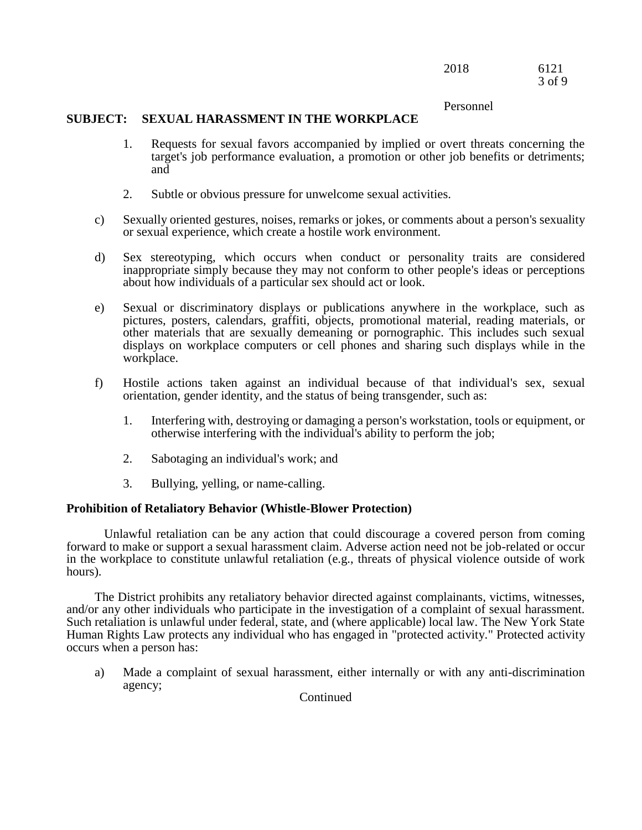### 2018 6121 3 of 9

## Personnel

## **SUBJECT: SEXUAL HARASSMENT IN THE WORKPLACE**

- 1. Requests for sexual favors accompanied by implied or overt threats concerning the target's job performance evaluation, a promotion or other job benefits or detriments; and
- 2. Subtle or obvious pressure for unwelcome sexual activities.
- c) Sexually oriented gestures, noises, remarks or jokes, or comments about a person's sexuality or sexual experience, which create a hostile work environment.
- d) Sex stereotyping, which occurs when conduct or personality traits are considered inappropriate simply because they may not conform to other people's ideas or perceptions about how individuals of a particular sex should act or look.
- e) Sexual or discriminatory displays or publications anywhere in the workplace, such as pictures, posters, calendars, graffiti, objects, promotional material, reading materials, or other materials that are sexually demeaning or pornographic. This includes such sexual displays on workplace computers or cell phones and sharing such displays while in the workplace.
- f) Hostile actions taken against an individual because of that individual's sex, sexual orientation, gender identity, and the status of being transgender, such as:
	- 1. Interfering with, destroying or damaging a person's workstation, tools or equipment, or otherwise interfering with the individual's ability to perform the job;
	- 2. Sabotaging an individual's work; and
	- 3. Bullying, yelling, or name-calling.

### **Prohibition of Retaliatory Behavior (Whistle-Blower Protection)**

Unlawful retaliation can be any action that could discourage a covered person from coming forward to make or support a sexual harassment claim. Adverse action need not be job-related or occur in the workplace to constitute unlawful retaliation (e.g., threats of physical violence outside of work hours).

The District prohibits any retaliatory behavior directed against complainants, victims, witnesses, and/or any other individuals who participate in the investigation of a complaint of sexual harassment. Such retaliation is unlawful under federal, state, and (where applicable) local law. The New York State Human Rights Law protects any individual who has engaged in "protected activity." Protected activity occurs when a person has:

a) Made a complaint of sexual harassment, either internally or with any anti-discrimination agency;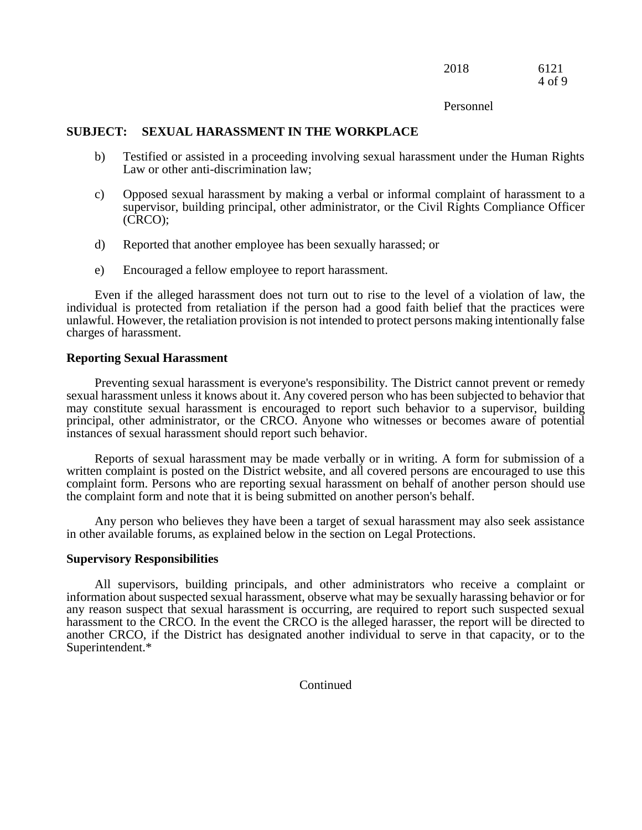| 2018 | 6121   |
|------|--------|
|      | 4 of 9 |

Personnel

### **SUBJECT: SEXUAL HARASSMENT IN THE WORKPLACE**

- b) Testified or assisted in a proceeding involving sexual harassment under the Human Rights Law or other anti-discrimination law;
- c) Opposed sexual harassment by making a verbal or informal complaint of harassment to a supervisor, building principal, other administrator, or the Civil Rights Compliance Officer (CRCO);
- d) Reported that another employee has been sexually harassed; or
- e) Encouraged a fellow employee to report harassment.

Even if the alleged harassment does not turn out to rise to the level of a violation of law, the individual is protected from retaliation if the person had a good faith belief that the practices were unlawful. However, the retaliation provision is not intended to protect persons making intentionally false charges of harassment.

#### **Reporting Sexual Harassment**

Preventing sexual harassment is everyone's responsibility. The District cannot prevent or remedy sexual harassment unless it knows about it. Any covered person who has been subjected to behavior that may constitute sexual harassment is encouraged to report such behavior to a supervisor, building principal, other administrator, or the CRCO. Anyone who witnesses or becomes aware of potential instances of sexual harassment should report such behavior.

Reports of sexual harassment may be made verbally or in writing. A form for submission of a written complaint is posted on the District website, and all covered persons are encouraged to use this complaint form. Persons who are reporting sexual harassment on behalf of another person should use the complaint form and note that it is being submitted on another person's behalf.

Any person who believes they have been a target of sexual harassment may also seek assistance in other available forums, as explained below in the section on Legal Protections.

#### **Supervisory Responsibilities**

All supervisors, building principals, and other administrators who receive a complaint or information about suspected sexual harassment, observe what may be sexually harassing behavior or for any reason suspect that sexual harassment is occurring, are required to report such suspected sexual harassment to the CRCO. In the event the CRCO is the alleged harasser, the report will be directed to another CRCO, if the District has designated another individual to serve in that capacity, or to the Superintendent.\*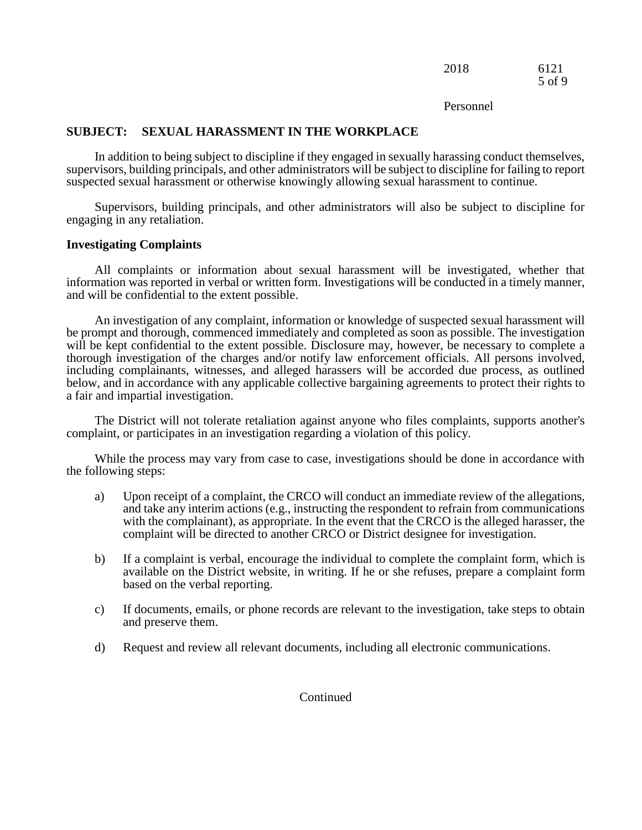| 2018 | 6121   |
|------|--------|
|      | 5 of 9 |

Personnel

## **SUBJECT: SEXUAL HARASSMENT IN THE WORKPLACE**

In addition to being subject to discipline if they engaged in sexually harassing conduct themselves, supervisors, building principals, and other administrators will be subject to discipline for failing to report suspected sexual harassment or otherwise knowingly allowing sexual harassment to continue.

Supervisors, building principals, and other administrators will also be subject to discipline for engaging in any retaliation.

## **Investigating Complaints**

All complaints or information about sexual harassment will be investigated, whether that information was reported in verbal or written form. Investigations will be conducted in a timely manner, and will be confidential to the extent possible.

An investigation of any complaint, information or knowledge of suspected sexual harassment will be prompt and thorough, commenced immediately and completed as soon as possible. The investigation will be kept confidential to the extent possible. Disclosure may, however, be necessary to complete a thorough investigation of the charges and/or notify law enforcement officials. All persons involved, including complainants, witnesses, and alleged harassers will be accorded due process, as outlined below, and in accordance with any applicable collective bargaining agreements to protect their rights to a fair and impartial investigation.

The District will not tolerate retaliation against anyone who files complaints, supports another's complaint, or participates in an investigation regarding a violation of this policy.

While the process may vary from case to case, investigations should be done in accordance with the following steps:

- a) Upon receipt of a complaint, the CRCO will conduct an immediate review of the allegations, and take any interim actions (e.g., instructing the respondent to refrain from communications with the complainant), as appropriate. In the event that the CRCO is the alleged harasser, the complaint will be directed to another CRCO or District designee for investigation.
- b) If a complaint is verbal, encourage the individual to complete the complaint form, which is available on the District website, in writing. If he or she refuses, prepare a complaint form based on the verbal reporting.
- c) If documents, emails, or phone records are relevant to the investigation, take steps to obtain and preserve them.
- d) Request and review all relevant documents, including all electronic communications.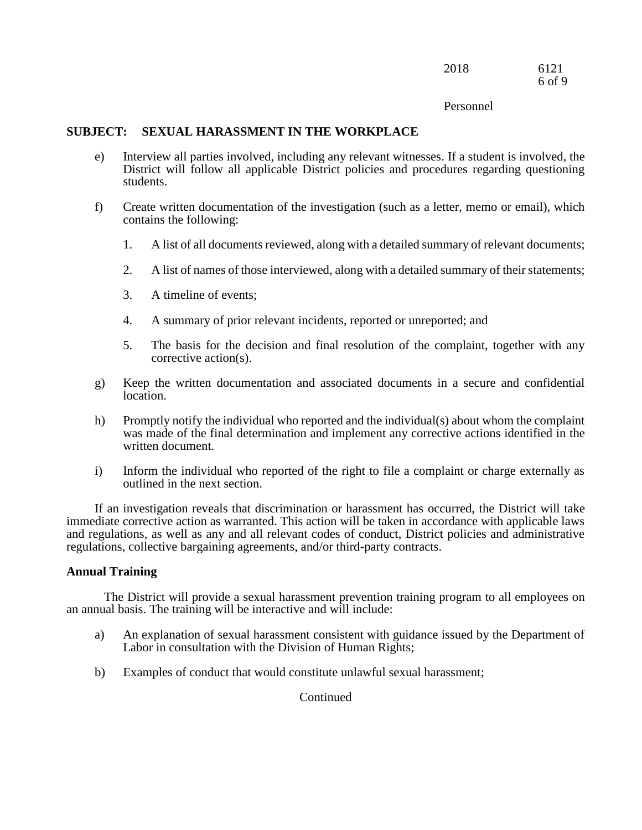## 2018 6121 6 of 9

### Personnel

## **SUBJECT: SEXUAL HARASSMENT IN THE WORKPLACE**

- e) Interview all parties involved, including any relevant witnesses. If a student is involved, the District will follow all applicable District policies and procedures regarding questioning students.
- f) Create written documentation of the investigation (such as a letter, memo or email), which contains the following:
	- 1. A list of all documents reviewed, along with a detailed summary of relevant documents;
	- 2. A list of names of those interviewed, along with a detailed summary of their statements;
	- 3. A timeline of events;
	- 4. A summary of prior relevant incidents, reported or unreported; and
	- 5. The basis for the decision and final resolution of the complaint, together with any corrective action(s).
- g) Keep the written documentation and associated documents in a secure and confidential location.
- h) Promptly notify the individual who reported and the individual(s) about whom the complaint was made of the final determination and implement any corrective actions identified in the written document.
- i) Inform the individual who reported of the right to file a complaint or charge externally as outlined in the next section.

If an investigation reveals that discrimination or harassment has occurred, the District will take immediate corrective action as warranted. This action will be taken in accordance with applicable laws and regulations, as well as any and all relevant codes of conduct, District policies and administrative regulations, collective bargaining agreements, and/or third-party contracts.

## **Annual Training**

The District will provide a sexual harassment prevention training program to all employees on an annual basis. The training will be interactive and will include:

- a) An explanation of sexual harassment consistent with guidance issued by the Department of Labor in consultation with the Division of Human Rights;
- b) Examples of conduct that would constitute unlawful sexual harassment;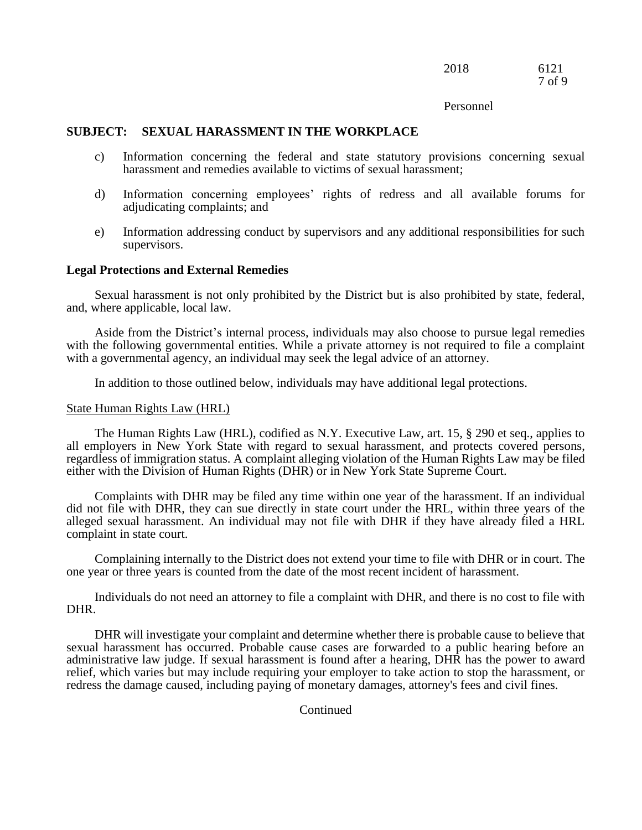### 2018 6121 7 of 9

#### Personnel

## **SUBJECT: SEXUAL HARASSMENT IN THE WORKPLACE**

- c) Information concerning the federal and state statutory provisions concerning sexual harassment and remedies available to victims of sexual harassment;
- d) Information concerning employees' rights of redress and all available forums for adjudicating complaints; and
- e) Information addressing conduct by supervisors and any additional responsibilities for such supervisors.

#### **Legal Protections and External Remedies**

Sexual harassment is not only prohibited by the District but is also prohibited by state, federal, and, where applicable, local law.

Aside from the District's internal process, individuals may also choose to pursue legal remedies with the following governmental entities. While a private attorney is not required to file a complaint with a governmental agency, an individual may seek the legal advice of an attorney.

In addition to those outlined below, individuals may have additional legal protections.

#### State Human Rights Law (HRL)

The Human Rights Law (HRL), codified as N.Y. Executive Law, art. 15, § 290 et seq., applies to all employers in New York State with regard to sexual harassment, and protects covered persons, regardless of immigration status. A complaint alleging violation of the Human Rights Law may be filed either with the Division of Human Rights (DHR) or in New York State Supreme Court.

Complaints with DHR may be filed any time within one year of the harassment. If an individual did not file with DHR, they can sue directly in state court under the HRL, within three years of the alleged sexual harassment. An individual may not file with DHR if they have already filed a HRL complaint in state court.

Complaining internally to the District does not extend your time to file with DHR or in court. The one year or three years is counted from the date of the most recent incident of harassment.

Individuals do not need an attorney to file a complaint with DHR, and there is no cost to file with DHR.

DHR will investigate your complaint and determine whether there is probable cause to believe that sexual harassment has occurred. Probable cause cases are forwarded to a public hearing before an administrative law judge. If sexual harassment is found after a hearing, DHR has the power to award relief, which varies but may include requiring your employer to take action to stop the harassment, or redress the damage caused, including paying of monetary damages, attorney's fees and civil fines.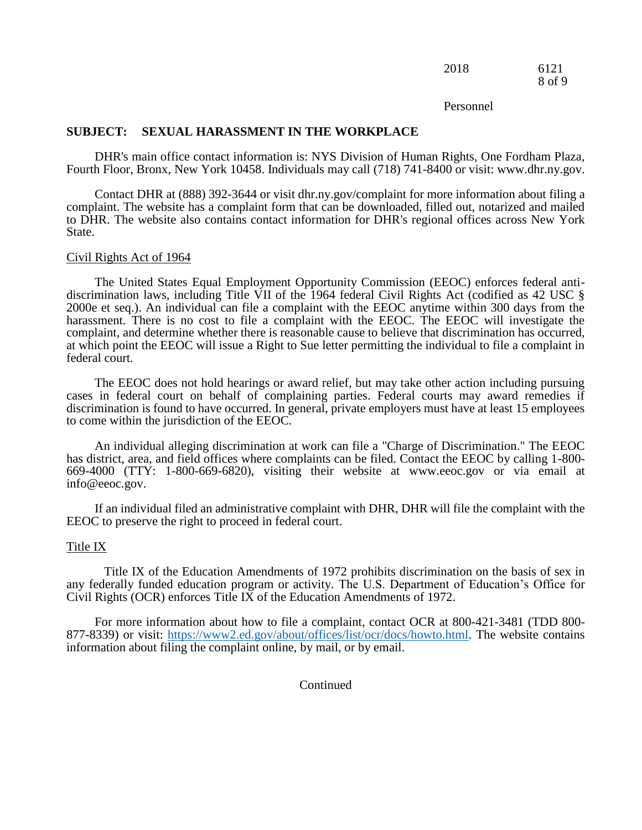| 2018 | 6121   |
|------|--------|
|      | 8 of 9 |

#### Personnel

#### **SUBJECT: SEXUAL HARASSMENT IN THE WORKPLACE**

DHR's main office contact information is: NYS Division of Human Rights, One Fordham Plaza, Fourth Floor, Bronx, New York 10458. Individuals may call (718) 741-8400 or visit: www.dhr.ny.gov.

Contact DHR at (888) 392-3644 or visit dhr.ny.gov/complaint for more information about filing a complaint. The website has a complaint form that can be downloaded, filled out, notarized and mailed to DHR. The website also contains contact information for DHR's regional offices across New York State.

#### Civil Rights Act of 1964

The United States Equal Employment Opportunity Commission (EEOC) enforces federal antidiscrimination laws, including Title VII of the 1964 federal Civil Rights Act (codified as 42 USC § 2000e et seq.). An individual can file a complaint with the EEOC anytime within 300 days from the harassment. There is no cost to file a complaint with the EEOC. The EEOC will investigate the complaint, and determine whether there is reasonable cause to believe that discrimination has occurred, at which point the EEOC will issue a Right to Sue letter permitting the individual to file a complaint in federal court.

The EEOC does not hold hearings or award relief, but may take other action including pursuing cases in federal court on behalf of complaining parties. Federal courts may award remedies if discrimination is found to have occurred. In general, private employers must have at least 15 employees to come within the jurisdiction of the EEOC.

An individual alleging discrimination at work can file a "Charge of Discrimination." The EEOC has district, area, and field offices where complaints can be filed. Contact the EEOC by calling 1-800- 669-4000 (TTY: 1-800-669-6820), visiting their website at www.eeoc.gov or via email at info@eeoc.gov.

If an individual filed an administrative complaint with DHR, DHR will file the complaint with the EEOC to preserve the right to proceed in federal court.

#### Title IX

Title IX of the Education Amendments of 1972 prohibits discrimination on the basis of sex in any federally funded education program or activity. The U.S. Department of Education's Office for Civil Rights (OCR) enforces Title IX of the Education Amendments of 1972.

For more information about how to file a complaint, contact OCR at 800-421-3481 (TDD 800- 877-8339) or visit: [https://www2.ed.gov/about/offices/list/ocr/docs/howto.html.](https://www2.ed.gov/about/offices/list/ocr/docs/howto.html) The website contains information about filing the complaint online, by mail, or by email.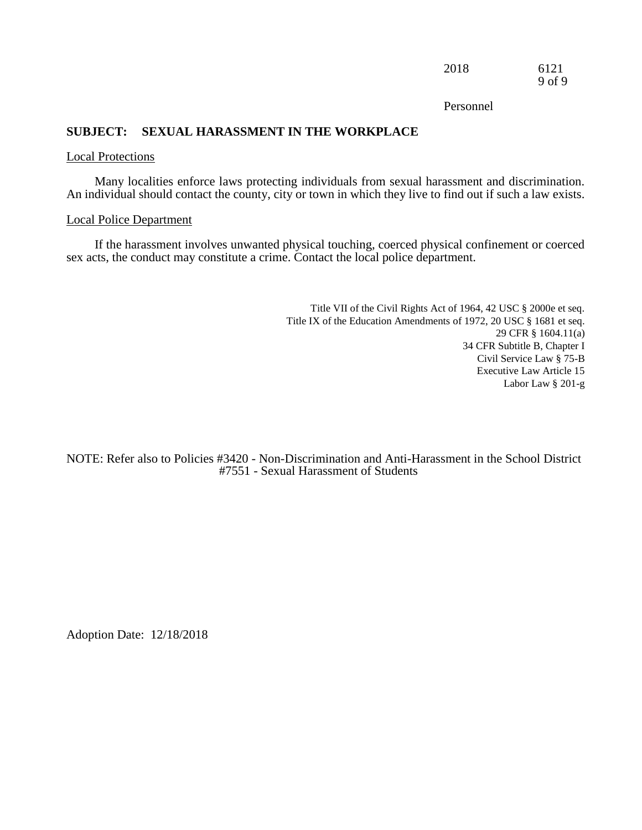| 2018 | 6121              |
|------|-------------------|
|      | 9 <sub>of</sub> 9 |

Personnel

## **SUBJECT: SEXUAL HARASSMENT IN THE WORKPLACE**

#### Local Protections

Many localities enforce laws protecting individuals from sexual harassment and discrimination. An individual should contact the county, city or town in which they live to find out if such a law exists.

### Local Police Department

If the harassment involves unwanted physical touching, coerced physical confinement or coerced sex acts, the conduct may constitute a crime. Contact the local police department.

> Title VII of the Civil Rights Act of 1964, 42 USC § 2000e et seq. Title IX of the Education Amendments of 1972, 20 USC § 1681 et seq. 29 CFR § 1604.11(a) 34 CFR Subtitle B, Chapter I Civil Service Law § 75-B Executive Law Article 15 Labor Law § 201-g

NOTE: Refer also to Policies #3420 - Non-Discrimination and Anti-Harassment in the School District #7551 - Sexual Harassment of Students

Adoption Date: 12/18/2018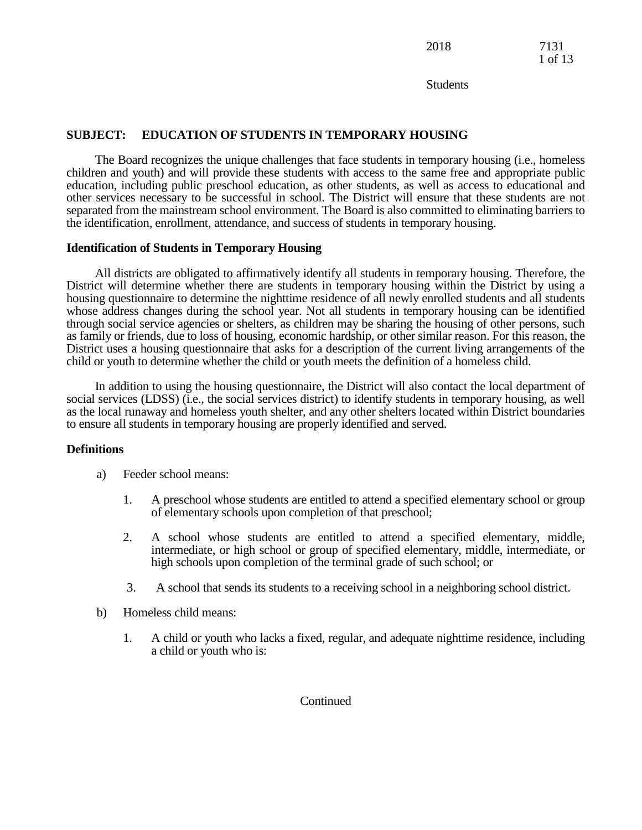# **SUBJECT: EDUCATION OF STUDENTS IN TEMPORARY HOUSING**

The Board recognizes the unique challenges that face students in temporary housing (i.e., homeless children and youth) and will provide these students with access to the same free and appropriate public education, including public preschool education, as other students, as well as access to educational and other services necessary to be successful in school. The District will ensure that these students are not separated from the mainstream school environment. The Board is also committed to eliminating barriers to the identification, enrollment, attendance, and success of students in temporary housing.

### **Identification of Students in Temporary Housing**

All districts are obligated to affirmatively identify all students in temporary housing. Therefore, the District will determine whether there are students in temporary housing within the District by using a housing questionnaire to determine the nighttime residence of all newly enrolled students and all students whose address changes during the school year. Not all students in temporary housing can be identified through social service agencies or shelters, as children may be sharing the housing of other persons, such as family or friends, due to loss of housing, economic hardship, or other similar reason. For this reason, the District uses a housing questionnaire that asks for a description of the current living arrangements of the child or youth to determine whether the child or youth meets the definition of a homeless child.

In addition to using the housing questionnaire, the District will also contact the local department of social services (LDSS) (i.e., the social services district) to identify students in temporary housing, as well as the local runaway and homeless youth shelter, and any other shelters located within District boundaries to ensure all students in temporary housing are properly identified and served.

## **Definitions**

- a) Feeder school means:
	- 1. A preschool whose students are entitled to attend a specified elementary school or group of elementary schools upon completion of that preschool;
	- 2. A school whose students are entitled to attend a specified elementary, middle, intermediate, or high school or group of specified elementary, middle, intermediate, or high schools upon completion of the terminal grade of such school; or
	- 3. A school that sends its students to a receiving school in a neighboring school district.
- b) Homeless child means:
	- 1. A child or youth who lacks a fixed, regular, and adequate nighttime residence, including a child or youth who is: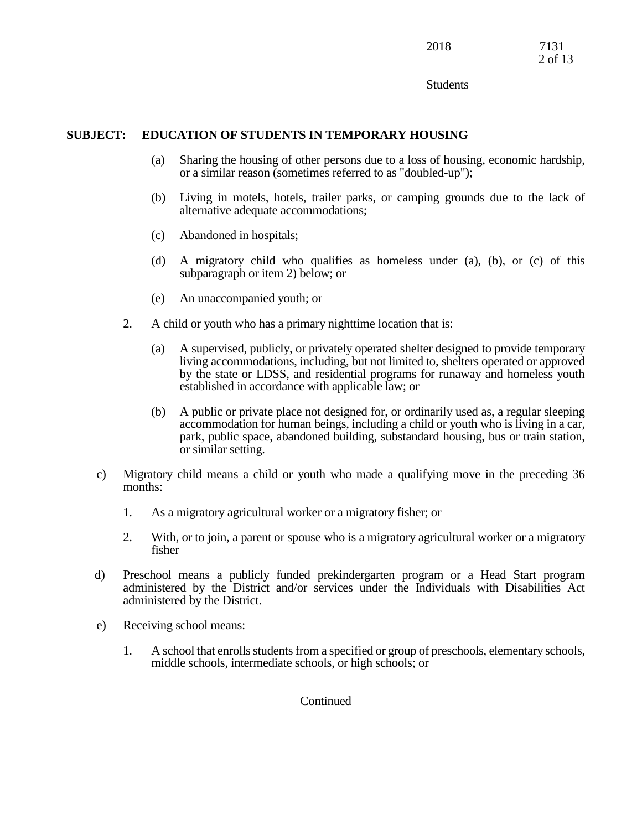# **SUBJECT: EDUCATION OF STUDENTS IN TEMPORARY HOUSING**

- (a) Sharing the housing of other persons due to a loss of housing, economic hardship, or a similar reason (sometimes referred to as "doubled-up");
- (b) Living in motels, hotels, trailer parks, or camping grounds due to the lack of alternative adequate accommodations;
- (c) Abandoned in hospitals;
- (d) A migratory child who qualifies as homeless under (a), (b), or (c) of this subparagraph or item 2) below; or
- (e) An unaccompanied youth; or
- 2. A child or youth who has a primary nighttime location that is:
	- (a) A supervised, publicly, or privately operated shelter designed to provide temporary living accommodations, including, but not limited to, shelters operated or approved by the state or LDSS, and residential programs for runaway and homeless youth established in accordance with applicable law; or
	- (b) A public or private place not designed for, or ordinarily used as, a regular sleeping accommodation for human beings, including a child or youth who is living in a car, park, public space, abandoned building, substandard housing, bus or train station, or similar setting.
- c) Migratory child means a child or youth who made a qualifying move in the preceding 36 months:
	- 1. As a migratory agricultural worker or a migratory fisher; or
	- 2. With, or to join, a parent or spouse who is a migratory agricultural worker or a migratory fisher
- d) Preschool means a publicly funded prekindergarten program or a Head Start program administered by the District and/or services under the Individuals with Disabilities Act administered by the District.
- e) Receiving school means:
	- 1. A school that enrolls students from a specified or group of preschools, elementary schools, middle schools, intermediate schools, or high schools; or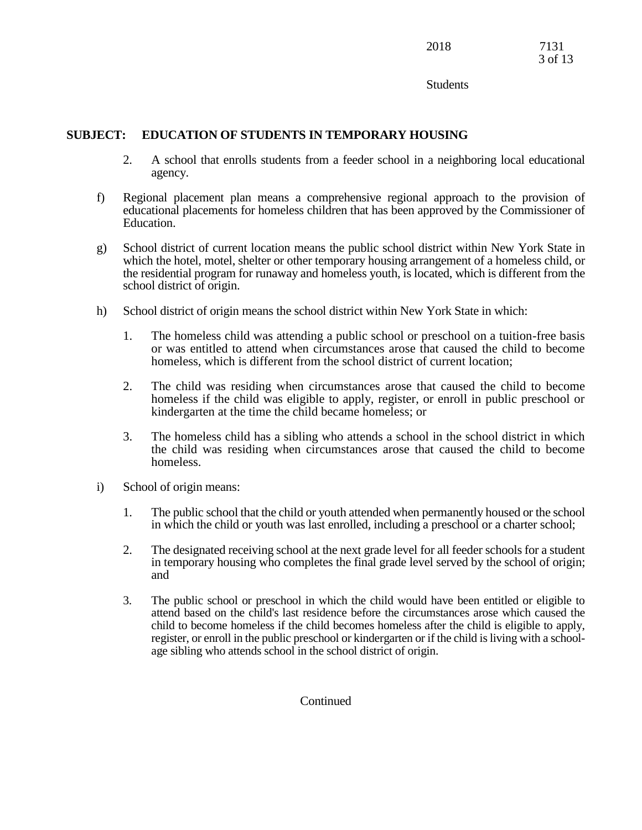# **SUBJECT: EDUCATION OF STUDENTS IN TEMPORARY HOUSING**

- 2. A school that enrolls students from a feeder school in a neighboring local educational agency.
- f) Regional placement plan means a comprehensive regional approach to the provision of educational placements for homeless children that has been approved by the Commissioner of Education.
- g) School district of current location means the public school district within New York State in which the hotel, motel, shelter or other temporary housing arrangement of a homeless child, or the residential program for runaway and homeless youth, is located, which is different from the school district of origin.
- h) School district of origin means the school district within New York State in which:
	- 1. The homeless child was attending a public school or preschool on a tuition-free basis or was entitled to attend when circumstances arose that caused the child to become homeless, which is different from the school district of current location;
	- 2. The child was residing when circumstances arose that caused the child to become homeless if the child was eligible to apply, register, or enroll in public preschool or kindergarten at the time the child became homeless; or
	- 3. The homeless child has a sibling who attends a school in the school district in which the child was residing when circumstances arose that caused the child to become homeless.
- i) School of origin means:
	- 1. The public school that the child or youth attended when permanently housed or the school in which the child or youth was last enrolled, including a preschool or a charter school;
	- 2. The designated receiving school at the next grade level for all feeder schools for a student in temporary housing who completes the final grade level served by the school of origin; and
	- 3. The public school or preschool in which the child would have been entitled or eligible to attend based on the child's last residence before the circumstances arose which caused the child to become homeless if the child becomes homeless after the child is eligible to apply, register, or enroll in the public preschool or kindergarten or if the child is living with a schoolage sibling who attends school in the school district of origin.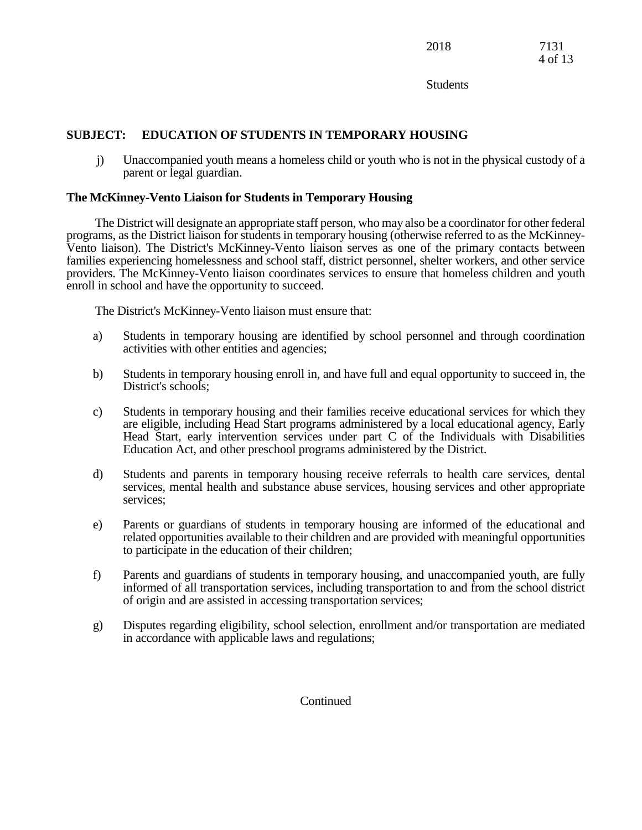# **SUBJECT: EDUCATION OF STUDENTS IN TEMPORARY HOUSING**

j) Unaccompanied youth means a homeless child or youth who is not in the physical custody of a parent or legal guardian.

## **The McKinney-Vento Liaison for Students in Temporary Housing**

The District will designate an appropriate staff person, who may also be a coordinator for other federal programs, as the District liaison for students in temporary housing (otherwise referred to as the McKinney-Vento liaison). The District's McKinney-Vento liaison serves as one of the primary contacts between families experiencing homelessness and school staff, district personnel, shelter workers, and other service providers. The McKinney-Vento liaison coordinates services to ensure that homeless children and youth enroll in school and have the opportunity to succeed.

The District's McKinney-Vento liaison must ensure that:

- a) Students in temporary housing are identified by school personnel and through coordination activities with other entities and agencies;
- b) Students in temporary housing enroll in, and have full and equal opportunity to succeed in, the District's schools;
- c) Students in temporary housing and their families receive educational services for which they are eligible, including Head Start programs administered by a local educational agency, Early Head Start, early intervention services under part C of the Individuals with Disabilities Education Act, and other preschool programs administered by the District.
- d) Students and parents in temporary housing receive referrals to health care services, dental services, mental health and substance abuse services, housing services and other appropriate services;
- e) Parents or guardians of students in temporary housing are informed of the educational and related opportunities available to their children and are provided with meaningful opportunities to participate in the education of their children;
- f) Parents and guardians of students in temporary housing, and unaccompanied youth, are fully informed of all transportation services, including transportation to and from the school district of origin and are assisted in accessing transportation services;
- g) Disputes regarding eligibility, school selection, enrollment and/or transportation are mediated in accordance with applicable laws and regulations;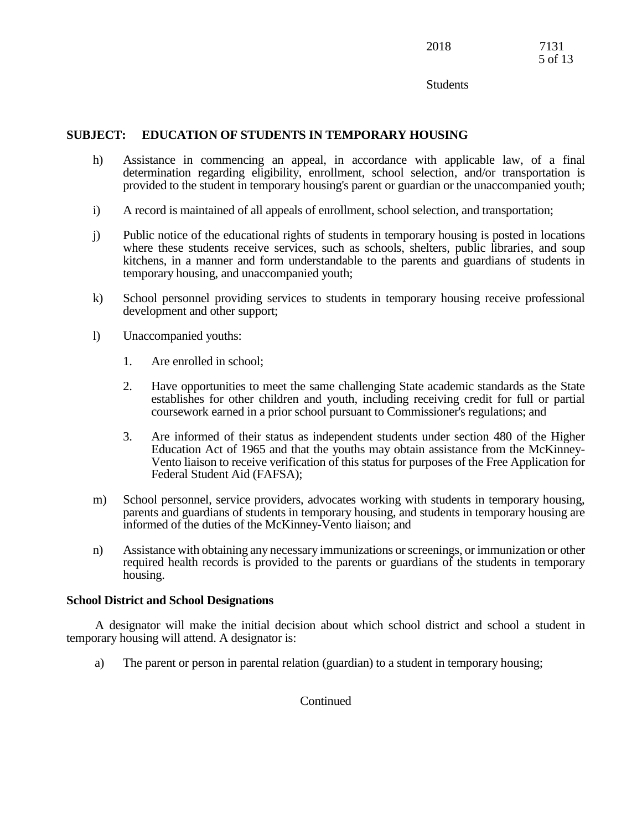# **SUBJECT: EDUCATION OF STUDENTS IN TEMPORARY HOUSING**

- h) Assistance in commencing an appeal, in accordance with applicable law, of a final determination regarding eligibility, enrollment, school selection, and/or transportation is provided to the student in temporary housing's parent or guardian or the unaccompanied youth;
- i) A record is maintained of all appeals of enrollment, school selection, and transportation;
- j) Public notice of the educational rights of students in temporary housing is posted in locations where these students receive services, such as schools, shelters, public libraries, and soup kitchens, in a manner and form understandable to the parents and guardians of students in temporary housing, and unaccompanied youth;
- k) School personnel providing services to students in temporary housing receive professional development and other support;
- l) Unaccompanied youths:
	- 1. Are enrolled in school;
	- 2. Have opportunities to meet the same challenging State academic standards as the State establishes for other children and youth, including receiving credit for full or partial coursework earned in a prior school pursuant to Commissioner's regulations; and
	- 3. Are informed of their status as independent students under section 480 of the Higher Education Act of 1965 and that the youths may obtain assistance from the McKinney-Vento liaison to receive verification of this status for purposes of the Free Application for Federal Student Aid (FAFSA);
- m) School personnel, service providers, advocates working with students in temporary housing, parents and guardians of students in temporary housing, and students in temporary housing are informed of the duties of the McKinney-Vento liaison; and
- n) Assistance with obtaining any necessary immunizations or screenings, or immunization or other required health records is provided to the parents or guardians of the students in temporary housing.

### **School District and School Designations**

A designator will make the initial decision about which school district and school a student in temporary housing will attend. A designator is:

a) The parent or person in parental relation (guardian) to a student in temporary housing;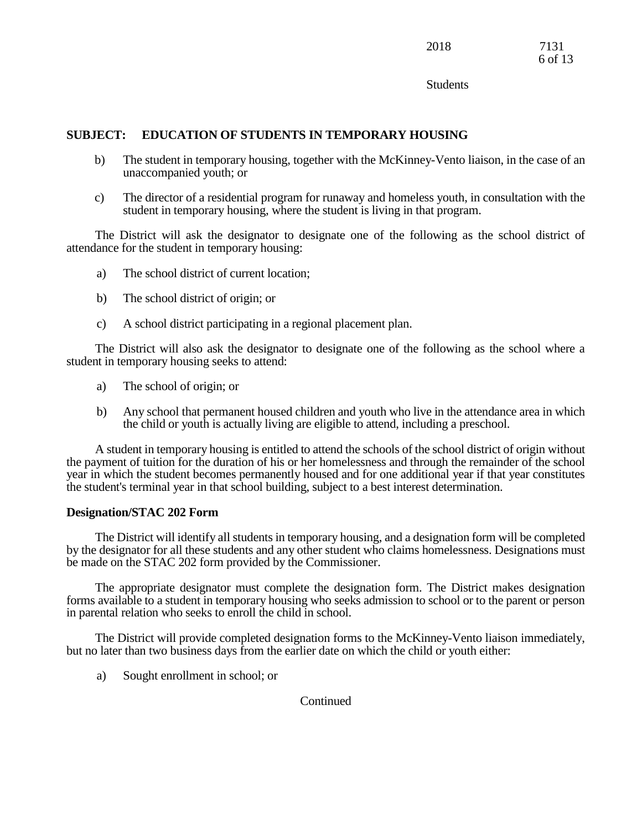# **SUBJECT: EDUCATION OF STUDENTS IN TEMPORARY HOUSING**

- b) The student in temporary housing, together with the McKinney-Vento liaison, in the case of an unaccompanied youth; or
- c) The director of a residential program for runaway and homeless youth, in consultation with the student in temporary housing, where the student is living in that program.

The District will ask the designator to designate one of the following as the school district of attendance for the student in temporary housing:

- a) The school district of current location;
- b) The school district of origin; or
- c) A school district participating in a regional placement plan.

The District will also ask the designator to designate one of the following as the school where a student in temporary housing seeks to attend:

- a) The school of origin; or
- b) Any school that permanent housed children and youth who live in the attendance area in which the child or youth is actually living are eligible to attend, including a preschool.

A student in temporary housing is entitled to attend the schools of the school district of origin without the payment of tuition for the duration of his or her homelessness and through the remainder of the school year in which the student becomes permanently housed and for one additional year if that year constitutes the student's terminal year in that school building, subject to a best interest determination.

### **Designation/STAC 202 Form**

The District will identify all students in temporary housing, and a designation form will be completed by the designator for all these students and any other student who claims homelessness. Designations must be made on the STAC 202 form provided by the Commissioner.

The appropriate designator must complete the designation form. The District makes designation forms available to a student in temporary housing who seeks admission to school or to the parent or person in parental relation who seeks to enroll the child in school.

The District will provide completed designation forms to the McKinney-Vento liaison immediately, but no later than two business days from the earlier date on which the child or youth either:

a) Sought enrollment in school; or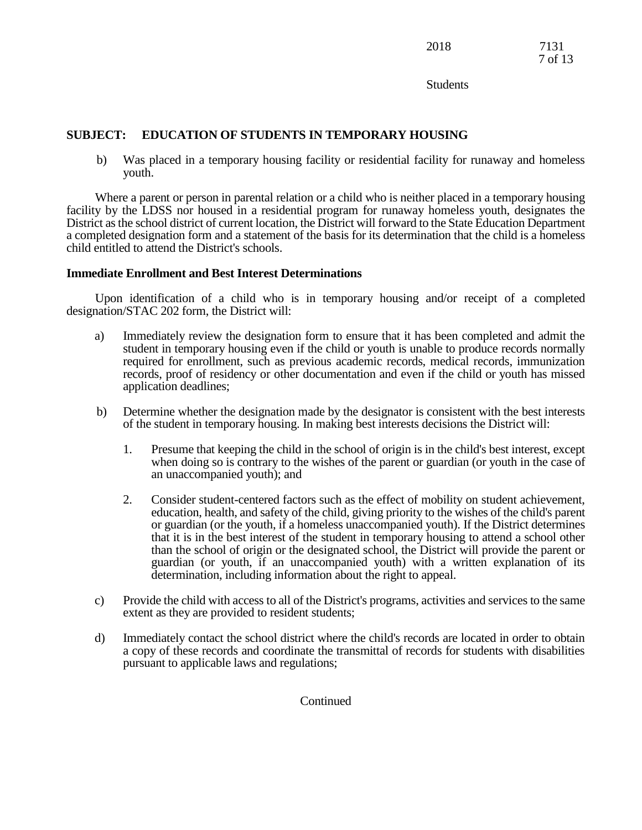# **SUBJECT: EDUCATION OF STUDENTS IN TEMPORARY HOUSING**

b) Was placed in a temporary housing facility or residential facility for runaway and homeless youth.

Where a parent or person in parental relation or a child who is neither placed in a temporary housing facility by the LDSS nor housed in a residential program for runaway homeless youth, designates the District as the school district of current location, the District will forward to the State Education Department a completed designation form and a statement of the basis for its determination that the child is a homeless child entitled to attend the District's schools.

## **Immediate Enrollment and Best Interest Determinations**

Upon identification of a child who is in temporary housing and/or receipt of a completed designation/STAC 202 form, the District will:

- a) Immediately review the designation form to ensure that it has been completed and admit the student in temporary housing even if the child or youth is unable to produce records normally required for enrollment, such as previous academic records, medical records, immunization records, proof of residency or other documentation and even if the child or youth has missed application deadlines;
- b) Determine whether the designation made by the designator is consistent with the best interests of the student in temporary housing. In making best interests decisions the District will:
	- 1. Presume that keeping the child in the school of origin is in the child's best interest, except when doing so is contrary to the wishes of the parent or guardian (or youth in the case of an unaccompanied youth); and
	- 2. Consider student-centered factors such as the effect of mobility on student achievement, education, health, and safety of the child, giving priority to the wishes of the child's parent or guardian (or the youth, if a homeless unaccompanied youth). If the District determines that it is in the best interest of the student in temporary housing to attend a school other than the school of origin or the designated school, the District will provide the parent or guardian (or youth, if an unaccompanied youth) with a written explanation of its determination, including information about the right to appeal.
- c) Provide the child with access to all of the District's programs, activities and services to the same extent as they are provided to resident students;
- d) Immediately contact the school district where the child's records are located in order to obtain a copy of these records and coordinate the transmittal of records for students with disabilities pursuant to applicable laws and regulations;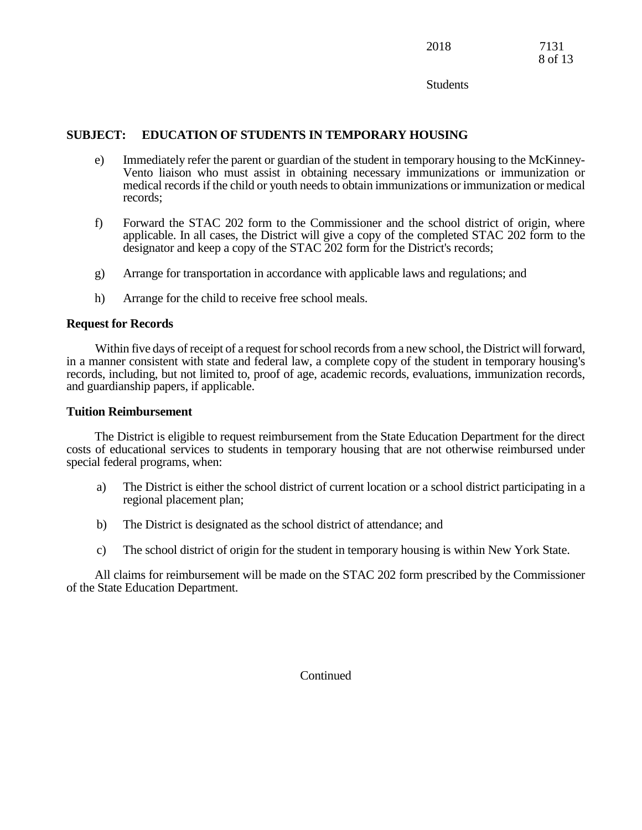## **SUBJECT: EDUCATION OF STUDENTS IN TEMPORARY HOUSING**

- e) Immediately refer the parent or guardian of the student in temporary housing to the McKinney-Vento liaison who must assist in obtaining necessary immunizations or immunization or medical records if the child or youth needs to obtain immunizations or immunization or medical records;
- f) Forward the STAC 202 form to the Commissioner and the school district of origin, where applicable. In all cases, the District will give a copy of the completed STAC 202 form to the designator and keep a copy of the STAC 202 form for the District's records;
- g) Arrange for transportation in accordance with applicable laws and regulations; and
- h) Arrange for the child to receive free school meals.

### **Request for Records**

Within five days of receipt of a request for school records from a new school, the District will forward, in a manner consistent with state and federal law, a complete copy of the student in temporary housing's records, including, but not limited to, proof of age, academic records, evaluations, immunization records, and guardianship papers, if applicable.

### **Tuition Reimbursement**

The District is eligible to request reimbursement from the State Education Department for the direct costs of educational services to students in temporary housing that are not otherwise reimbursed under special federal programs, when:

- a) The District is either the school district of current location or a school district participating in a regional placement plan;
- b) The District is designated as the school district of attendance; and
- c) The school district of origin for the student in temporary housing is within New York State.

All claims for reimbursement will be made on the STAC 202 form prescribed by the Commissioner of the State Education Department.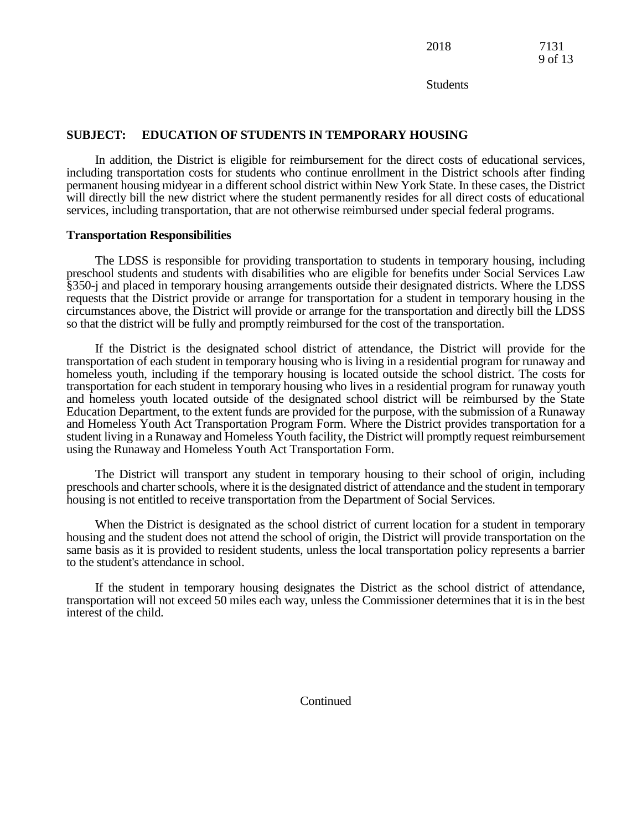## **SUBJECT: EDUCATION OF STUDENTS IN TEMPORARY HOUSING**

In addition, the District is eligible for reimbursement for the direct costs of educational services, including transportation costs for students who continue enrollment in the District schools after finding permanent housing midyear in a different school district within New York State. In these cases, the District will directly bill the new district where the student permanently resides for all direct costs of educational services, including transportation, that are not otherwise reimbursed under special federal programs.

#### **Transportation Responsibilities**

The LDSS is responsible for providing transportation to students in temporary housing, including preschool students and students with disabilities who are eligible for benefits under Social Services Law §350-j and placed in temporary housing arrangements outside their designated districts. Where the LDSS requests that the District provide or arrange for transportation for a student in temporary housing in the circumstances above, the District will provide or arrange for the transportation and directly bill the LDSS so that the district will be fully and promptly reimbursed for the cost of the transportation.

If the District is the designated school district of attendance, the District will provide for the transportation of each student in temporary housing who is living in a residential program for runaway and homeless youth, including if the temporary housing is located outside the school district. The costs for transportation for each student in temporary housing who lives in a residential program for runaway youth and homeless youth located outside of the designated school district will be reimbursed by the State Education Department, to the extent funds are provided for the purpose, with the submission of a Runaway and Homeless Youth Act Transportation Program Form. Where the District provides transportation for a student living in a Runaway and Homeless Youth facility, the District will promptly request reimbursement using the Runaway and Homeless Youth Act Transportation Form.

The District will transport any student in temporary housing to their school of origin, including preschools and charter schools, where it is the designated district of attendance and the student in temporary housing is not entitled to receive transportation from the Department of Social Services.

When the District is designated as the school district of current location for a student in temporary housing and the student does not attend the school of origin, the District will provide transportation on the same basis as it is provided to resident students, unless the local transportation policy represents a barrier to the student's attendance in school.

If the student in temporary housing designates the District as the school district of attendance, transportation will not exceed 50 miles each way, unless the Commissioner determines that it is in the best interest of the child.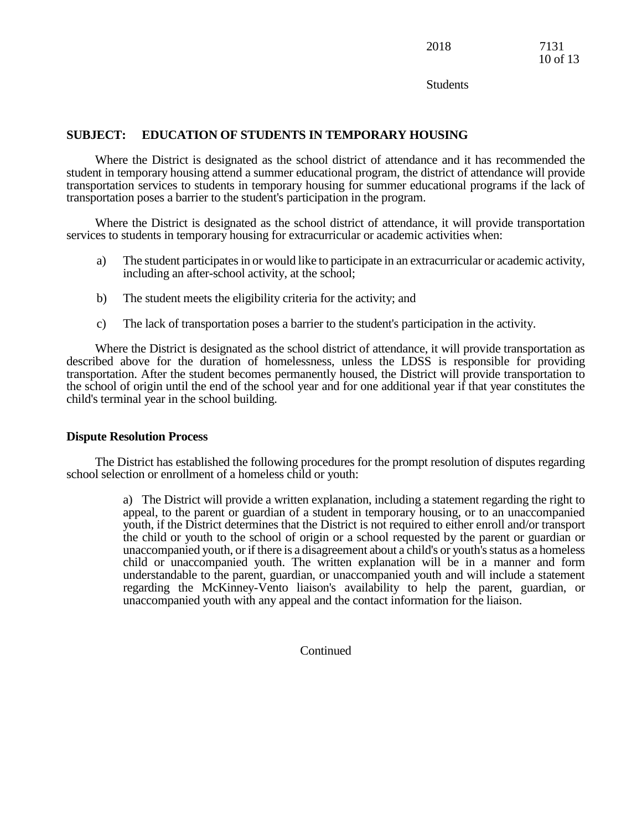## **SUBJECT: EDUCATION OF STUDENTS IN TEMPORARY HOUSING**

Where the District is designated as the school district of attendance and it has recommended the student in temporary housing attend a summer educational program, the district of attendance will provide transportation services to students in temporary housing for summer educational programs if the lack of transportation poses a barrier to the student's participation in the program.

Where the District is designated as the school district of attendance, it will provide transportation services to students in temporary housing for extracurricular or academic activities when:

- a) The student participates in or would like to participate in an extracurricular or academic activity, including an after-school activity, at the school;
- b) The student meets the eligibility criteria for the activity; and
- c) The lack of transportation poses a barrier to the student's participation in the activity.

Where the District is designated as the school district of attendance, it will provide transportation as described above for the duration of homelessness, unless the LDSS is responsible for providing transportation. After the student becomes permanently housed, the District will provide transportation to the school of origin until the end of the school year and for one additional year if that year constitutes the child's terminal year in the school building.

### **Dispute Resolution Process**

The District has established the following procedures for the prompt resolution of disputes regarding school selection or enrollment of a homeless child or youth:

> a) The District will provide a written explanation, including a statement regarding the right to appeal, to the parent or guardian of a student in temporary housing, or to an unaccompanied youth, if the District determines that the District is not required to either enroll and/or transport the child or youth to the school of origin or a school requested by the parent or guardian or unaccompanied youth, or if there is a disagreement about a child's or youth's status as a homeless child or unaccompanied youth. The written explanation will be in a manner and form understandable to the parent, guardian, or unaccompanied youth and will include a statement regarding the McKinney-Vento liaison's availability to help the parent, guardian, or unaccompanied youth with any appeal and the contact information for the liaison.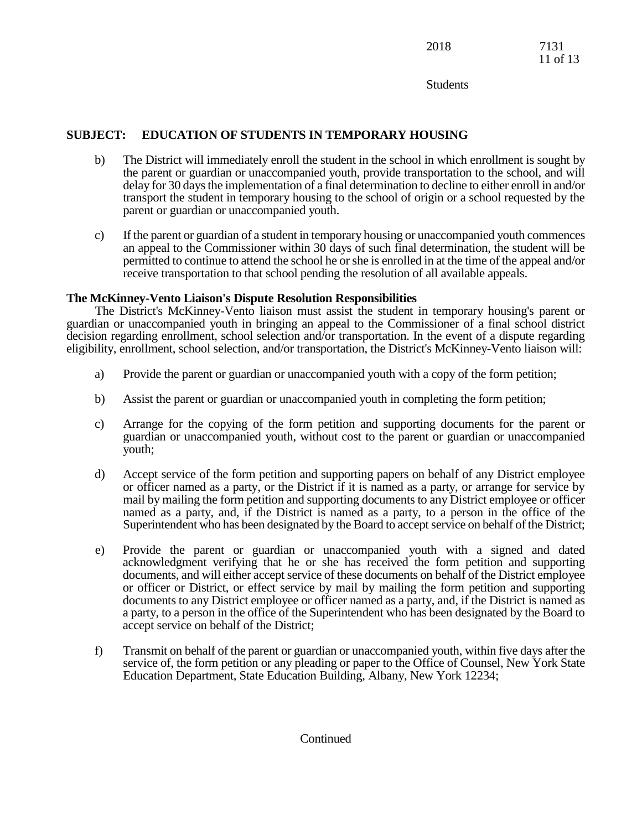11 of 13

Students

# **SUBJECT: EDUCATION OF STUDENTS IN TEMPORARY HOUSING**

- b) The District will immediately enroll the student in the school in which enrollment is sought by the parent or guardian or unaccompanied youth, provide transportation to the school, and will delay for 30 days the implementation of a final determination to decline to either enroll in and/or transport the student in temporary housing to the school of origin or a school requested by the parent or guardian or unaccompanied youth.
- c) If the parent or guardian of a student in temporary housing or unaccompanied youth commences an appeal to the Commissioner within 30 days of such final determination, the student will be permitted to continue to attend the school he or she is enrolled in at the time of the appeal and/or receive transportation to that school pending the resolution of all available appeals.

## **The McKinney-Vento Liaison's Dispute Resolution Responsibilities**

The District's McKinney-Vento liaison must assist the student in temporary housing's parent or guardian or unaccompanied youth in bringing an appeal to the Commissioner of a final school district decision regarding enrollment, school selection and/or transportation. In the event of a dispute regarding eligibility, enrollment, school selection, and/or transportation, the District's McKinney-Vento liaison will:

- a) Provide the parent or guardian or unaccompanied youth with a copy of the form petition;
- b) Assist the parent or guardian or unaccompanied youth in completing the form petition;
- c) Arrange for the copying of the form petition and supporting documents for the parent or guardian or unaccompanied youth, without cost to the parent or guardian or unaccompanied youth;
- d) Accept service of the form petition and supporting papers on behalf of any District employee or officer named as a party, or the District if it is named as a party, or arrange for service by mail by mailing the form petition and supporting documents to any District employee or officer named as a party, and, if the District is named as a party, to a person in the office of the Superintendent who has been designated by the Board to accept service on behalf of the District;
- e) Provide the parent or guardian or unaccompanied youth with a signed and dated acknowledgment verifying that he or she has received the form petition and supporting documents, and will either accept service of these documents on behalf of the District employee or officer or District, or effect service by mail by mailing the form petition and supporting documents to any District employee or officer named as a party, and, if the District is named as a party, to a person in the office of the Superintendent who has been designated by the Board to accept service on behalf of the District;
- f) Transmit on behalf of the parent or guardian or unaccompanied youth, within five days after the service of, the form petition or any pleading or paper to the Office of Counsel, New York State Education Department, State Education Building, Albany, New York 12234;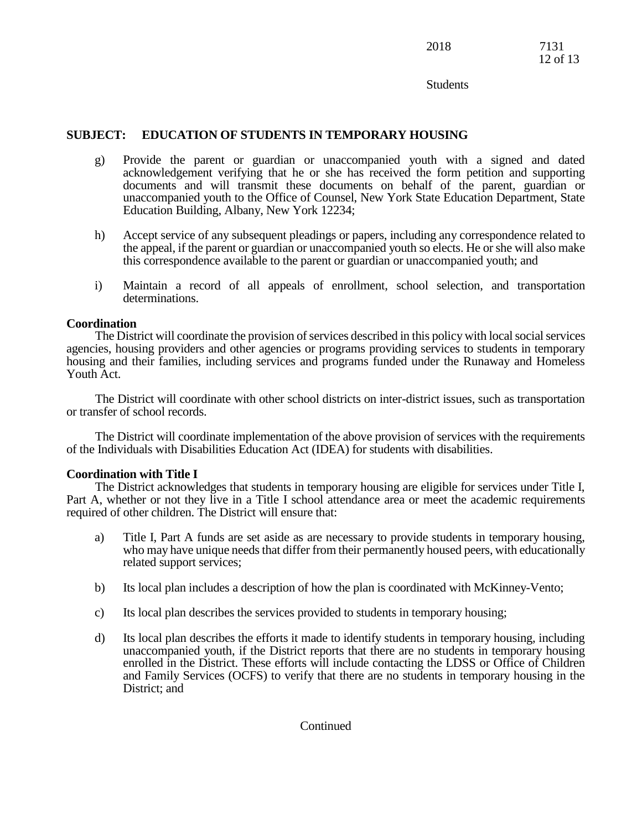## **SUBJECT: EDUCATION OF STUDENTS IN TEMPORARY HOUSING**

- g) Provide the parent or guardian or unaccompanied youth with a signed and dated acknowledgement verifying that he or she has received the form petition and supporting documents and will transmit these documents on behalf of the parent, guardian or unaccompanied youth to the Office of Counsel, New York State Education Department, State Education Building, Albany, New York 12234;
- h) Accept service of any subsequent pleadings or papers, including any correspondence related to the appeal, if the parent or guardian or unaccompanied youth so elects. He or she will also make this correspondence available to the parent or guardian or unaccompanied youth; and
- i) Maintain a record of all appeals of enrollment, school selection, and transportation determinations.

#### **Coordination**

The District will coordinate the provision of services described in this policy with local social services agencies, housing providers and other agencies or programs providing services to students in temporary housing and their families, including services and programs funded under the Runaway and Homeless Youth Act.

The District will coordinate with other school districts on inter-district issues, such as transportation or transfer of school records.

The District will coordinate implementation of the above provision of services with the requirements of the Individuals with Disabilities Education Act (IDEA) for students with disabilities.

### **Coordination with Title I**

The District acknowledges that students in temporary housing are eligible for services under Title I, Part A, whether or not they live in a Title I school attendance area or meet the academic requirements required of other children. The District will ensure that:

- a) Title I, Part A funds are set aside as are necessary to provide students in temporary housing, who may have unique needs that differ from their permanently housed peers, with educationally related support services;
- b) Its local plan includes a description of how the plan is coordinated with McKinney-Vento;
- c) Its local plan describes the services provided to students in temporary housing;
- d) Its local plan describes the efforts it made to identify students in temporary housing, including unaccompanied youth, if the District reports that there are no students in temporary housing enrolled in the District. These efforts will include contacting the LDSS or Office of Children and Family Services (OCFS) to verify that there are no students in temporary housing in the District; and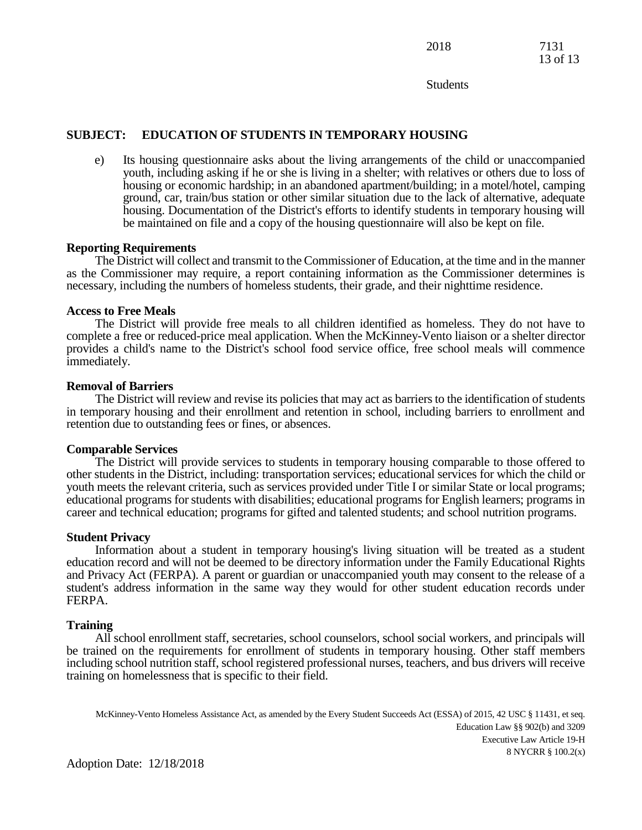# **SUBJECT: EDUCATION OF STUDENTS IN TEMPORARY HOUSING**

e) Its housing questionnaire asks about the living arrangements of the child or unaccompanied youth, including asking if he or she is living in a shelter; with relatives or others due to loss of housing or economic hardship; in an abandoned apartment/building; in a motel/hotel, camping ground, car, train/bus station or other similar situation due to the lack of alternative, adequate housing. Documentation of the District's efforts to identify students in temporary housing will be maintained on file and a copy of the housing questionnaire will also be kept on file.

### **Reporting Requirements**

The District will collect and transmit to the Commissioner of Education, at the time and in the manner as the Commissioner may require, a report containing information as the Commissioner determines is necessary, including the numbers of homeless students, their grade, and their nighttime residence.

### **Access to Free Meals**

The District will provide free meals to all children identified as homeless. They do not have to complete a free or reduced-price meal application. When the McKinney-Vento liaison or a shelter director provides a child's name to the District's school food service office, free school meals will commence immediately.

### **Removal of Barriers**

The District will review and revise its policies that may act as barriers to the identification of students in temporary housing and their enrollment and retention in school, including barriers to enrollment and retention due to outstanding fees or fines, or absences.

### **Comparable Services**

The District will provide services to students in temporary housing comparable to those offered to other students in the District, including: transportation services; educational services for which the child or youth meets the relevant criteria, such as services provided under Title I or similar State or local programs; educational programs for students with disabilities; educational programs for English learners; programs in career and technical education; programs for gifted and talented students; and school nutrition programs.

## **Student Privacy**

Information about a student in temporary housing's living situation will be treated as a student education record and will not be deemed to be directory information under the Family Educational Rights and Privacy Act (FERPA). A parent or guardian or unaccompanied youth may consent to the release of a student's address information in the same way they would for other student education records under FERPA.

## **Training**

All school enrollment staff, secretaries, school counselors, school social workers, and principals will be trained on the requirements for enrollment of students in temporary housing. Other staff members including school nutrition staff, school registered professional nurses, teachers, and bus drivers will receive training on homelessness that is specific to their field.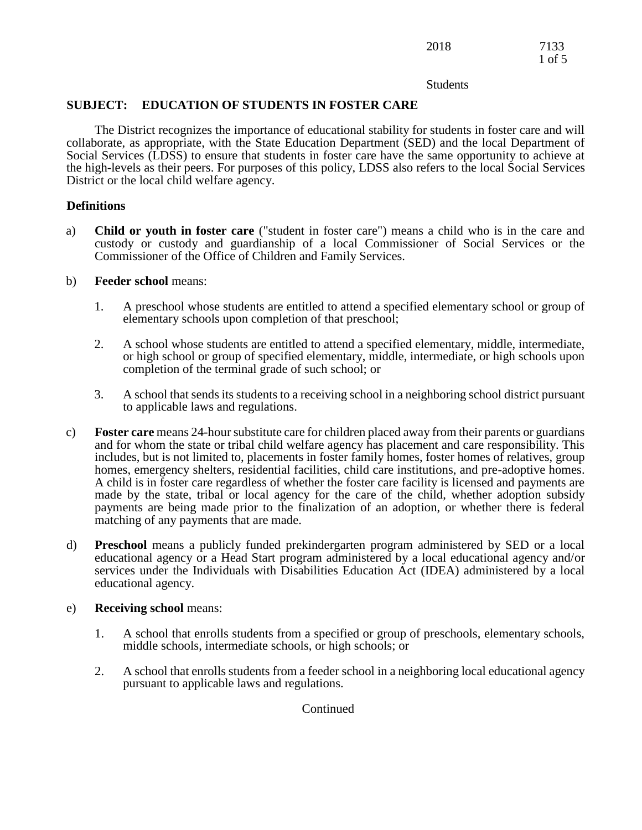### **SUBJECT: EDUCATION OF STUDENTS IN FOSTER CARE**

The District recognizes the importance of educational stability for students in foster care and will collaborate, as appropriate, with the State Education Department (SED) and the local Department of Social Services (LDSS) to ensure that students in foster care have the same opportunity to achieve at the high-levels as their peers. For purposes of this policy, LDSS also refers to the local Social Services District or the local child welfare agency.

## **Definitions**

- a) **Child or youth in foster care** ("student in foster care") means a child who is in the care and custody or custody and guardianship of a local Commissioner of Social Services or the Commissioner of the Office of Children and Family Services.
- b) **Feeder school** means:
	- 1. A preschool whose students are entitled to attend a specified elementary school or group of elementary schools upon completion of that preschool;
	- 2. A school whose students are entitled to attend a specified elementary, middle, intermediate, or high school or group of specified elementary, middle, intermediate, or high schools upon completion of the terminal grade of such school; or
	- 3. A school that sends its students to a receiving school in a neighboring school district pursuant to applicable laws and regulations.
- c) **Foster care** means 24-hour substitute care for children placed away from their parents or guardians and for whom the state or tribal child welfare agency has placement and care responsibility. This includes, but is not limited to, placements in foster family homes, foster homes of relatives, group homes, emergency shelters, residential facilities, child care institutions, and pre-adoptive homes. A child is in foster care regardless of whether the foster care facility is licensed and payments are made by the state, tribal or local agency for the care of the child, whether adoption subsidy payments are being made prior to the finalization of an adoption, or whether there is federal matching of any payments that are made.
- d) **Preschool** means a publicly funded prekindergarten program administered by SED or a local educational agency or a Head Start program administered by a local educational agency and/or services under the Individuals with Disabilities Education Act (IDEA) administered by a local educational agency.
- e) **Receiving school** means:
	- 1. A school that enrolls students from a specified or group of preschools, elementary schools, middle schools, intermediate schools, or high schools; or
	- 2. A school that enrolls students from a feeder school in a neighboring local educational agency pursuant to applicable laws and regulations.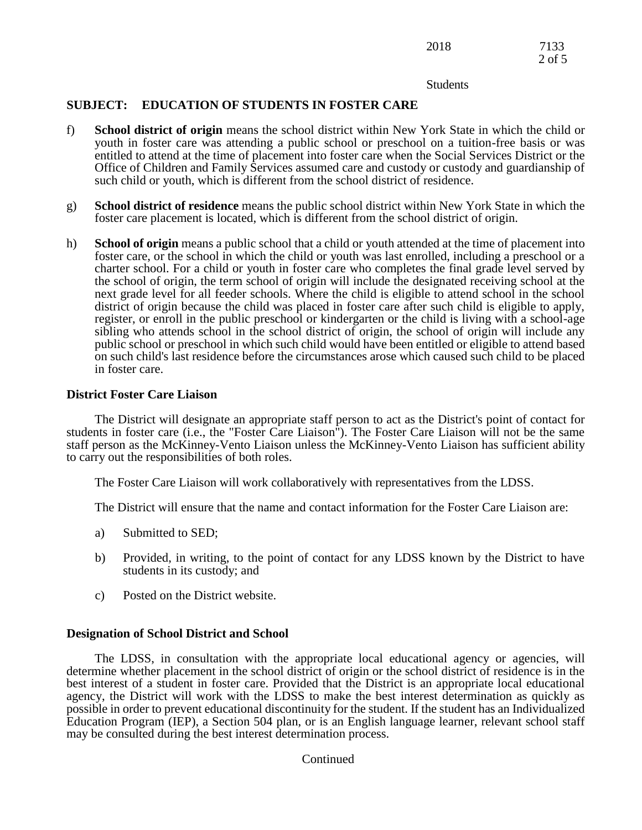| 2018 | 7133     |
|------|----------|
|      | $2$ of 5 |

### **SUBJECT: EDUCATION OF STUDENTS IN FOSTER CARE**

- f) **School district of origin** means the school district within New York State in which the child or youth in foster care was attending a public school or preschool on a tuition-free basis or was entitled to attend at the time of placement into foster care when the Social Services District or the Office of Children and Family Services assumed care and custody or custody and guardianship of such child or youth, which is different from the school district of residence.
- g) **School district of residence** means the public school district within New York State in which the foster care placement is located, which is different from the school district of origin.
- h) **School of origin** means a public school that a child or youth attended at the time of placement into foster care, or the school in which the child or youth was last enrolled, including a preschool or a charter school. For a child or youth in foster care who completes the final grade level served by the school of origin, the term school of origin will include the designated receiving school at the next grade level for all feeder schools. Where the child is eligible to attend school in the school district of origin because the child was placed in foster care after such child is eligible to apply, register, or enroll in the public preschool or kindergarten or the child is living with a school-age sibling who attends school in the school district of origin, the school of origin will include any public school or preschool in which such child would have been entitled or eligible to attend based on such child's last residence before the circumstances arose which caused such child to be placed in foster care.

### **District Foster Care Liaison**

The District will designate an appropriate staff person to act as the District's point of contact for students in foster care (i.e., the "Foster Care Liaison"). The Foster Care Liaison will not be the same staff person as the McKinney-Vento Liaison unless the McKinney-Vento Liaison has sufficient ability to carry out the responsibilities of both roles.

The Foster Care Liaison will work collaboratively with representatives from the LDSS.

The District will ensure that the name and contact information for the Foster Care Liaison are:

- a) Submitted to SED;
- b) Provided, in writing, to the point of contact for any LDSS known by the District to have students in its custody; and
- c) Posted on the District website.

### **Designation of School District and School**

The LDSS, in consultation with the appropriate local educational agency or agencies, will determine whether placement in the school district of origin or the school district of residence is in the best interest of a student in foster care. Provided that the District is an appropriate local educational agency, the District will work with the LDSS to make the best interest determination as quickly as possible in order to prevent educational discontinuity for the student. If the student has an Individualized Education Program (IEP), a Section 504 plan, or is an English language learner, relevant school staff may be consulted during the best interest determination process.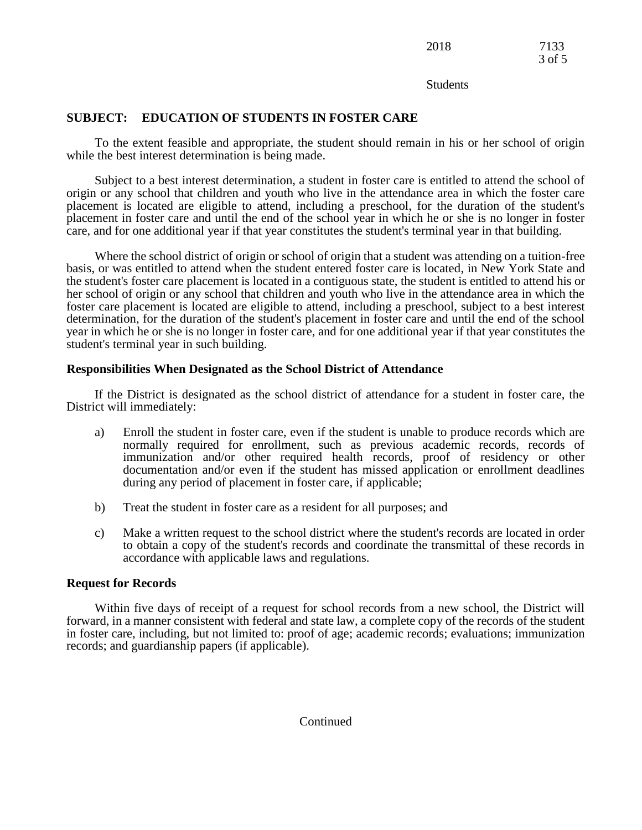# 2018 7133 3 of 5

Students

## **SUBJECT: EDUCATION OF STUDENTS IN FOSTER CARE**

To the extent feasible and appropriate, the student should remain in his or her school of origin while the best interest determination is being made.

Subject to a best interest determination, a student in foster care is entitled to attend the school of origin or any school that children and youth who live in the attendance area in which the foster care placement is located are eligible to attend, including a preschool, for the duration of the student's placement in foster care and until the end of the school year in which he or she is no longer in foster care, and for one additional year if that year constitutes the student's terminal year in that building.

Where the school district of origin or school of origin that a student was attending on a tuition-free basis, or was entitled to attend when the student entered foster care is located, in New York State and the student's foster care placement is located in a contiguous state, the student is entitled to attend his or her school of origin or any school that children and youth who live in the attendance area in which the foster care placement is located are eligible to attend, including a preschool, subject to a best interest determination, for the duration of the student's placement in foster care and until the end of the school year in which he or she is no longer in foster care, and for one additional year if that year constitutes the student's terminal year in such building.

### **Responsibilities When Designated as the School District of Attendance**

If the District is designated as the school district of attendance for a student in foster care, the District will immediately:

- a) Enroll the student in foster care, even if the student is unable to produce records which are normally required for enrollment, such as previous academic records, records of immunization and/or other required health records, proof of residency or other documentation and/or even if the student has missed application or enrollment deadlines during any period of placement in foster care, if applicable;
- b) Treat the student in foster care as a resident for all purposes; and
- c) Make a written request to the school district where the student's records are located in order to obtain a copy of the student's records and coordinate the transmittal of these records in accordance with applicable laws and regulations.

### **Request for Records**

Within five days of receipt of a request for school records from a new school, the District will forward, in a manner consistent with federal and state law, a complete copy of the records of the student in foster care, including, but not limited to: proof of age; academic records; evaluations; immunization records; and guardianship papers (if applicable).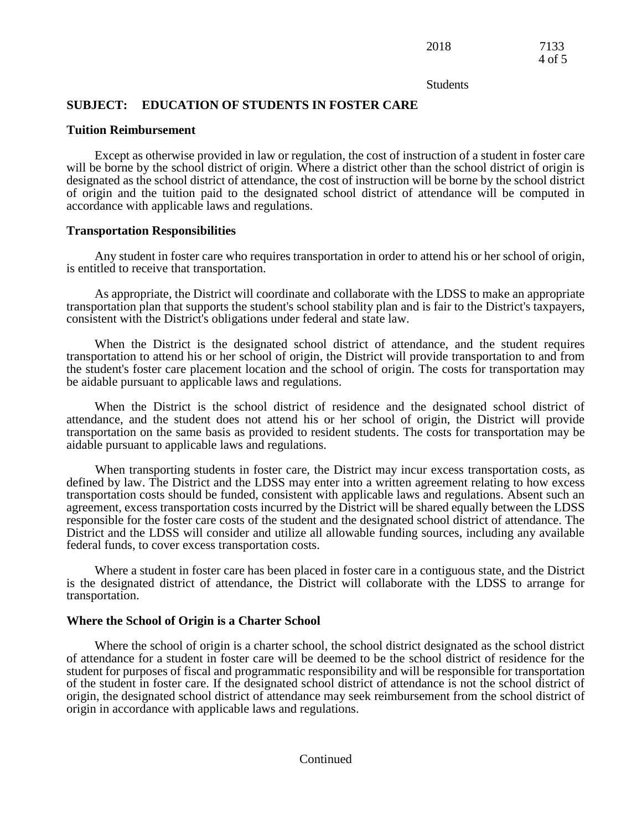### **SUBJECT: EDUCATION OF STUDENTS IN FOSTER CARE**

#### **Tuition Reimbursement**

Except as otherwise provided in law or regulation, the cost of instruction of a student in foster care will be borne by the school district of origin. Where a district other than the school district of origin is designated as the school district of attendance, the cost of instruction will be borne by the school district of origin and the tuition paid to the designated school district of attendance will be computed in accordance with applicable laws and regulations.

### **Transportation Responsibilities**

Any student in foster care who requires transportation in order to attend his or her school of origin, is entitled to receive that transportation.

As appropriate, the District will coordinate and collaborate with the LDSS to make an appropriate transportation plan that supports the student's school stability plan and is fair to the District's taxpayers, consistent with the District's obligations under federal and state law.

When the District is the designated school district of attendance, and the student requires transportation to attend his or her school of origin, the District will provide transportation to and from the student's foster care placement location and the school of origin. The costs for transportation may be aidable pursuant to applicable laws and regulations.

When the District is the school district of residence and the designated school district of attendance, and the student does not attend his or her school of origin, the District will provide transportation on the same basis as provided to resident students. The costs for transportation may be aidable pursuant to applicable laws and regulations.

When transporting students in foster care, the District may incur excess transportation costs, as defined by law. The District and the LDSS may enter into a written agreement relating to how excess transportation costs should be funded, consistent with applicable laws and regulations. Absent such an agreement, excess transportation costs incurred by the District will be shared equally between the LDSS responsible for the foster care costs of the student and the designated school district of attendance. The District and the LDSS will consider and utilize all allowable funding sources, including any available federal funds, to cover excess transportation costs.

Where a student in foster care has been placed in foster care in a contiguous state, and the District is the designated district of attendance, the District will collaborate with the LDSS to arrange for transportation.

#### **Where the School of Origin is a Charter School**

Where the school of origin is a charter school, the school district designated as the school district of attendance for a student in foster care will be deemed to be the school district of residence for the student for purposes of fiscal and programmatic responsibility and will be responsible for transportation of the student in foster care. If the designated school district of attendance is not the school district of origin, the designated school district of attendance may seek reimbursement from the school district of origin in accordance with applicable laws and regulations.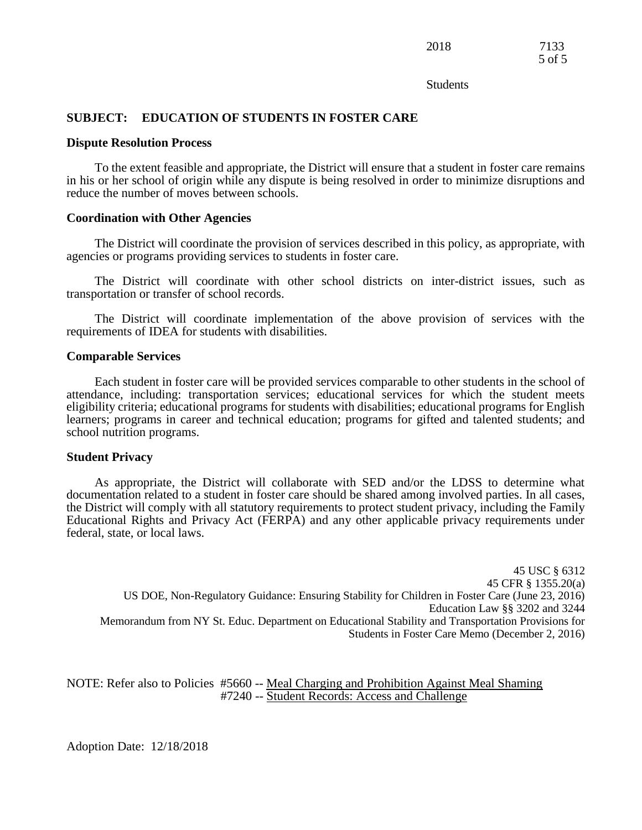# **SUBJECT: EDUCATION OF STUDENTS IN FOSTER CARE**

### **Dispute Resolution Process**

To the extent feasible and appropriate, the District will ensure that a student in foster care remains in his or her school of origin while any dispute is being resolved in order to minimize disruptions and reduce the number of moves between schools.

### **Coordination with Other Agencies**

The District will coordinate the provision of services described in this policy, as appropriate, with agencies or programs providing services to students in foster care.

The District will coordinate with other school districts on inter-district issues, such as transportation or transfer of school records.

The District will coordinate implementation of the above provision of services with the requirements of IDEA for students with disabilities.

### **Comparable Services**

Each student in foster care will be provided services comparable to other students in the school of attendance, including: transportation services; educational services for which the student meets eligibility criteria; educational programs for students with disabilities; educational programs for English learners; programs in career and technical education; programs for gifted and talented students; and school nutrition programs.

### **Student Privacy**

As appropriate, the District will collaborate with SED and/or the LDSS to determine what documentation related to a student in foster care should be shared among involved parties. In all cases, the District will comply with all statutory requirements to protect student privacy, including the Family Educational Rights and Privacy Act (FERPA) and any other applicable privacy requirements under federal, state, or local laws.

45 USC § 6312 45 CFR § 1355.20(a) US DOE, Non-Regulatory Guidance: Ensuring Stability for Children in Foster Care (June 23, 2016) Education Law §§ 3202 and 3244 Memorandum from NY St. Educ. Department on Educational Stability and Transportation Provisions for Students in Foster Care Memo (December 2, 2016)

NOTE: Refer also to Policies #5660 -- Meal Charging and Prohibition Against Meal Shaming #7240 -- Student Records: Access and Challenge

Adoption Date: 12/18/2018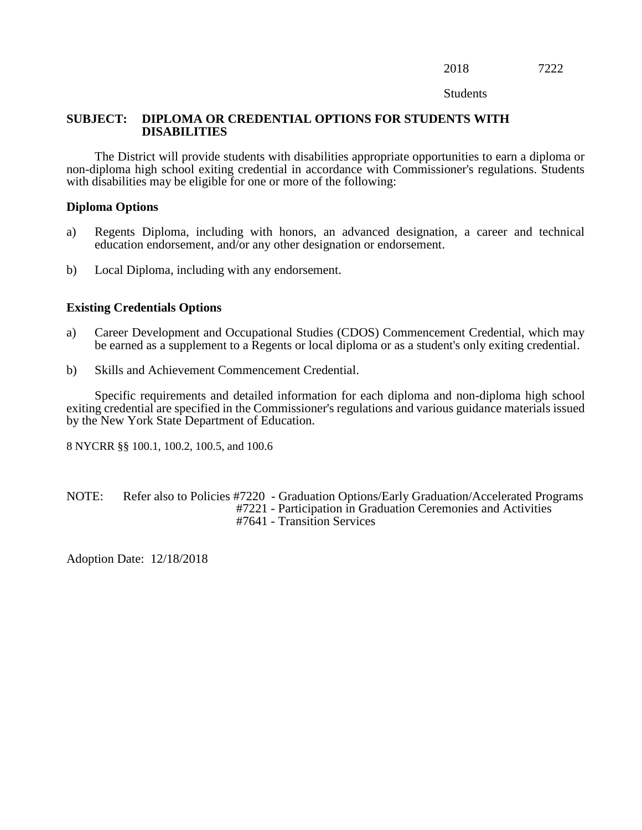Students

## **SUBJECT: DIPLOMA OR CREDENTIAL OPTIONS FOR STUDENTS WITH DISABILITIES**

The District will provide students with disabilities appropriate opportunities to earn a diploma or non-diploma high school exiting credential in accordance with Commissioner's regulations. Students with disabilities may be eligible for one or more of the following:

### **Diploma Options**

- a) Regents Diploma, including with honors, an advanced designation, a career and technical education endorsement, and/or any other designation or endorsement.
- b) Local Diploma, including with any endorsement.

## **Existing Credentials Options**

- a) Career Development and Occupational Studies (CDOS) Commencement Credential, which may be earned as a supplement to a Regents or local diploma or as a student's only exiting credential.
- b) Skills and Achievement Commencement Credential.

Specific requirements and detailed information for each diploma and non-diploma high school exiting credential are specified in the Commissioner's regulations and various guidance materials issued by the New York State Department of Education.

8 NYCRR §§ 100.1, 100.2, 100.5, and 100.6

#### NOTE: Refer also to Policies #7220 - Graduation Options/Early Graduation/Accelerated Programs #7221 - Participation in Graduation Ceremonies and Activities #7641 - Transition Services

Adoption Date: 12/18/2018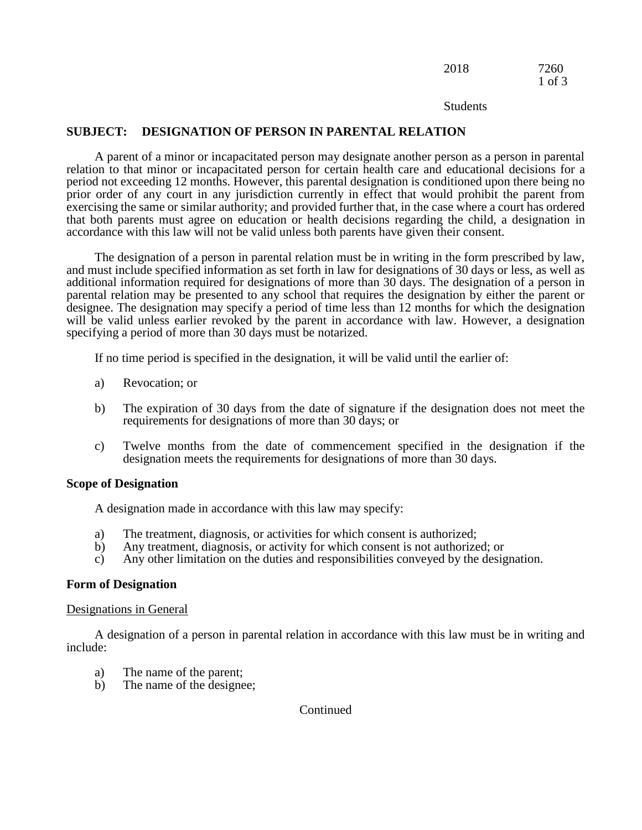### 2018 7260 1 of 3

Students

## **SUBJECT: DESIGNATION OF PERSON IN PARENTAL RELATION**

A parent of a minor or incapacitated person may designate another person as a person in parental relation to that minor or incapacitated person for certain health care and educational decisions for a period not exceeding 12 months. However, this parental designation is conditioned upon there being no prior order of any court in any jurisdiction currently in effect that would prohibit the parent from exercising the same or similar authority; and provided further that, in the case where a court has ordered that both parents must agree on education or health decisions regarding the child, a designation in accordance with this law will not be valid unless both parents have given their consent.

The designation of a person in parental relation must be in writing in the form prescribed by law, and must include specified information as set forth in law for designations of 30 days or less, as well as additional information required for designations of more than 30 days. The designation of a person in parental relation may be presented to any school that requires the designation by either the parent or designee. The designation may specify a period of time less than 12 months for which the designation will be valid unless earlier revoked by the parent in accordance with law. However, a designation specifying a period of more than 30 days must be notarized.

If no time period is specified in the designation, it will be valid until the earlier of:

- a) Revocation; or
- b) The expiration of 30 days from the date of signature if the designation does not meet the requirements for designations of more than 30 days; or
- c) Twelve months from the date of commencement specified in the designation if the designation meets the requirements for designations of more than 30 days.

## **Scope of Designation**

A designation made in accordance with this law may specify:

- a) The treatment, diagnosis, or activities for which consent is authorized;
- b) Any treatment, diagnosis, or activity for which consent is not authorized; or
- c) Any other limitation on the duties and responsibilities conveyed by the designation.

### **Form of Designation**

### Designations in General

A designation of a person in parental relation in accordance with this law must be in writing and include:

- a) The name of the parent;
- b) The name of the designee;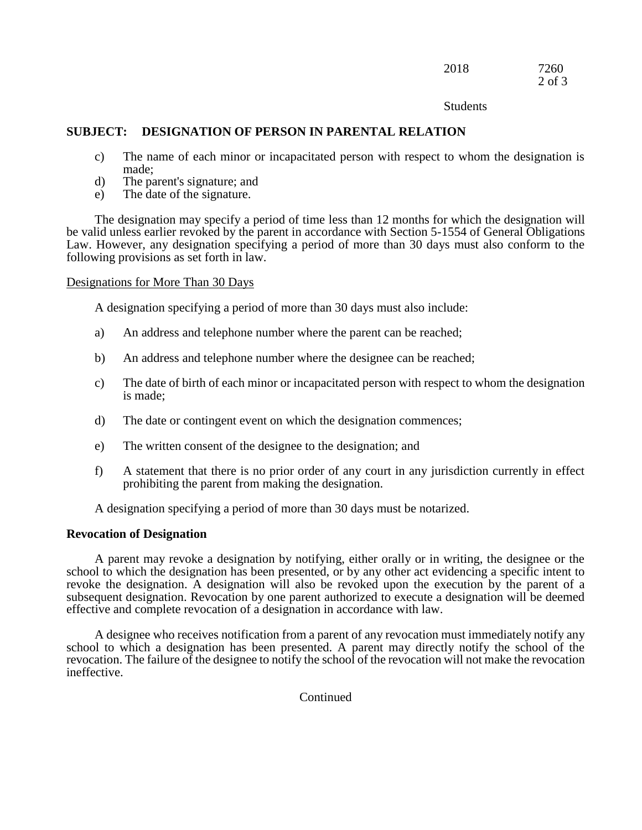### 2018 7260 2 of 3

#### Students

## **SUBJECT: DESIGNATION OF PERSON IN PARENTAL RELATION**

- c) The name of each minor or incapacitated person with respect to whom the designation is made;
- d) The parent's signature; and
- e) The date of the signature.

The designation may specify a period of time less than 12 months for which the designation will be valid unless earlier revoked by the parent in accordance with Section 5-1554 of General Obligations Law. However, any designation specifying a period of more than 30 days must also conform to the following provisions as set forth in law.

### Designations for More Than 30 Days

A designation specifying a period of more than 30 days must also include:

- a) An address and telephone number where the parent can be reached;
- b) An address and telephone number where the designee can be reached;
- c) The date of birth of each minor or incapacitated person with respect to whom the designation is made;
- d) The date or contingent event on which the designation commences;
- e) The written consent of the designee to the designation; and
- f) A statement that there is no prior order of any court in any jurisdiction currently in effect prohibiting the parent from making the designation.

A designation specifying a period of more than 30 days must be notarized.

### **Revocation of Designation**

A parent may revoke a designation by notifying, either orally or in writing, the designee or the school to which the designation has been presented, or by any other act evidencing a specific intent to revoke the designation. A designation will also be revoked upon the execution by the parent of a subsequent designation. Revocation by one parent authorized to execute a designation will be deemed effective and complete revocation of a designation in accordance with law.

A designee who receives notification from a parent of any revocation must immediately notify any school to which a designation has been presented. A parent may directly notify the school of the revocation. The failure of the designee to notify the school of the revocation will not make the revocation ineffective.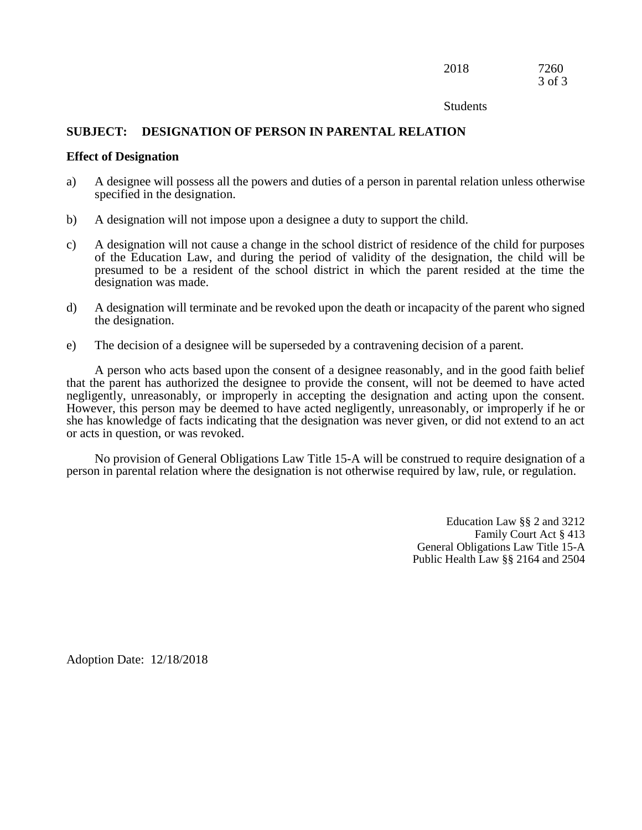### 2018 7260 3 of 3

#### Students

## **SUBJECT: DESIGNATION OF PERSON IN PARENTAL RELATION**

#### **Effect of Designation**

- a) A designee will possess all the powers and duties of a person in parental relation unless otherwise specified in the designation.
- b) A designation will not impose upon a designee a duty to support the child.
- c) A designation will not cause a change in the school district of residence of the child for purposes of the Education Law, and during the period of validity of the designation, the child will be presumed to be a resident of the school district in which the parent resided at the time the designation was made.
- d) A designation will terminate and be revoked upon the death or incapacity of the parent who signed the designation.
- e) The decision of a designee will be superseded by a contravening decision of a parent.

A person who acts based upon the consent of a designee reasonably, and in the good faith belief that the parent has authorized the designee to provide the consent, will not be deemed to have acted negligently, unreasonably, or improperly in accepting the designation and acting upon the consent. However, this person may be deemed to have acted negligently, unreasonably, or improperly if he or she has knowledge of facts indicating that the designation was never given, or did not extend to an act or acts in question, or was revoked.

No provision of General Obligations Law Title 15-A will be construed to require designation of a person in parental relation where the designation is not otherwise required by law, rule, or regulation.

> Education Law §§ 2 and 3212 Family Court Act § 413 General Obligations Law Title 15-A Public Health Law §§ 2164 and 2504

Adoption Date: 12/18/2018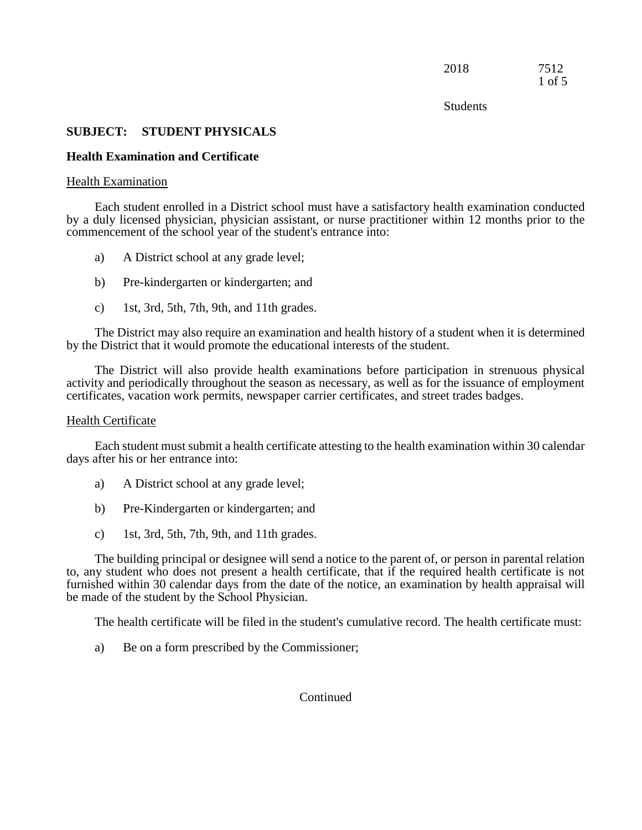2018 7512 1 of 5

Students

### **SUBJECT: STUDENT PHYSICALS**

#### **Health Examination and Certificate**

#### Health Examination

Each student enrolled in a District school must have a satisfactory health examination conducted by a duly licensed physician, physician assistant, or nurse practitioner within 12 months prior to the commencement of the school year of the student's entrance into:

- a) A District school at any grade level;
- b) Pre-kindergarten or kindergarten; and
- c) 1st, 3rd, 5th, 7th, 9th, and 11th grades.

The District may also require an examination and health history of a student when it is determined by the District that it would promote the educational interests of the student.

The District will also provide health examinations before participation in strenuous physical activity and periodically throughout the season as necessary, as well as for the issuance of employment certificates, vacation work permits, newspaper carrier certificates, and street trades badges.

#### Health Certificate

Each student must submit a health certificate attesting to the health examination within 30 calendar days after his or her entrance into:

- a) A District school at any grade level;
- b) Pre-Kindergarten or kindergarten; and
- c) 1st, 3rd, 5th, 7th, 9th, and 11th grades.

The building principal or designee will send a notice to the parent of, or person in parental relation to, any student who does not present a health certificate, that if the required health certificate is not furnished within 30 calendar days from the date of the notice, an examination by health appraisal will be made of the student by the School Physician.

The health certificate will be filed in the student's cumulative record. The health certificate must:

a) Be on a form prescribed by the Commissioner;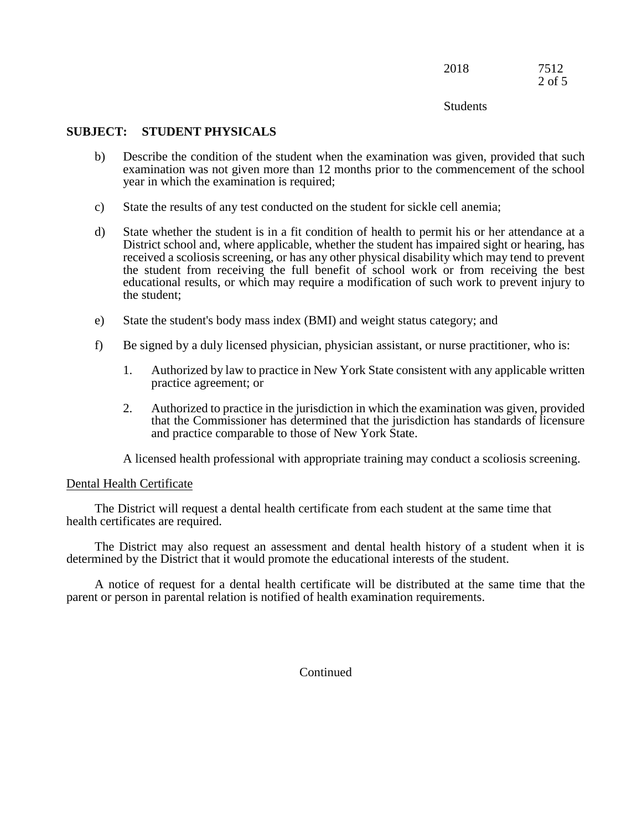## 2018 7512 2 of 5

#### Students

### **SUBJECT: STUDENT PHYSICALS**

- b) Describe the condition of the student when the examination was given, provided that such examination was not given more than 12 months prior to the commencement of the school year in which the examination is required;
- c) State the results of any test conducted on the student for sickle cell anemia;
- d) State whether the student is in a fit condition of health to permit his or her attendance at a District school and, where applicable, whether the student has impaired sight or hearing, has received a scoliosis screening, or has any other physical disability which may tend to prevent the student from receiving the full benefit of school work or from receiving the best educational results, or which may require a modification of such work to prevent injury to the student;
- e) State the student's body mass index (BMI) and weight status category; and
- f) Be signed by a duly licensed physician, physician assistant, or nurse practitioner, who is:
	- 1. Authorized by law to practice in New York State consistent with any applicable written practice agreement; or
	- 2. Authorized to practice in the jurisdiction in which the examination was given, provided that the Commissioner has determined that the jurisdiction has standards of licensure and practice comparable to those of New York State.

A licensed health professional with appropriate training may conduct a scoliosis screening.

### Dental Health Certificate

The District will request a dental health certificate from each student at the same time that health certificates are required.

The District may also request an assessment and dental health history of a student when it is determined by the District that it would promote the educational interests of the student.

A notice of request for a dental health certificate will be distributed at the same time that the parent or person in parental relation is notified of health examination requirements.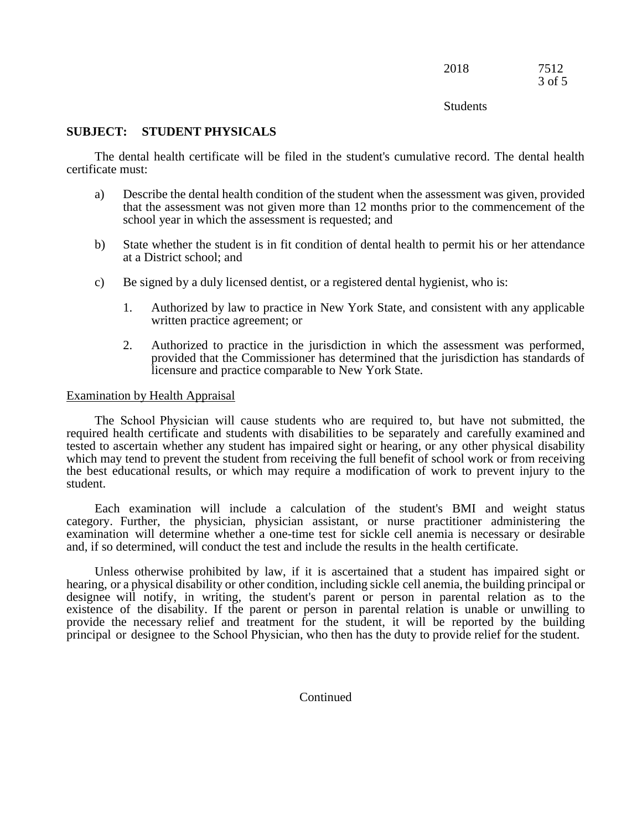## 2018 7512 3 of 5

Students

### **SUBJECT: STUDENT PHYSICALS**

The dental health certificate will be filed in the student's cumulative record. The dental health certificate must:

- a) Describe the dental health condition of the student when the assessment was given, provided that the assessment was not given more than 12 months prior to the commencement of the school year in which the assessment is requested; and
- b) State whether the student is in fit condition of dental health to permit his or her attendance at a District school; and
- c) Be signed by a duly licensed dentist, or a registered dental hygienist, who is:
	- 1. Authorized by law to practice in New York State, and consistent with any applicable written practice agreement; or
	- 2. Authorized to practice in the jurisdiction in which the assessment was performed, provided that the Commissioner has determined that the jurisdiction has standards of licensure and practice comparable to New York State.

#### Examination by Health Appraisal

The School Physician will cause students who are required to, but have not submitted, the required health certificate and students with disabilities to be separately and carefully examined and tested to ascertain whether any student has impaired sight or hearing, or any other physical disability which may tend to prevent the student from receiving the full benefit of school work or from receiving the best educational results, or which may require a modification of work to prevent injury to the student.

Each examination will include a calculation of the student's BMI and weight status category. Further, the physician, physician assistant, or nurse practitioner administering the examination will determine whether a one-time test for sickle cell anemia is necessary or desirable and, if so determined, will conduct the test and include the results in the health certificate.

Unless otherwise prohibited by law, if it is ascertained that a student has impaired sight or hearing, or a physical disability or other condition, including sickle cell anemia, the building principal or designee will notify, in writing, the student's parent or person in parental relation as to the existence of the disability. If the parent or person in parental relation is unable or unwilling to provide the necessary relief and treatment for the student, it will be reported by the building principal or designee to the School Physician, who then has the duty to provide relief for the student.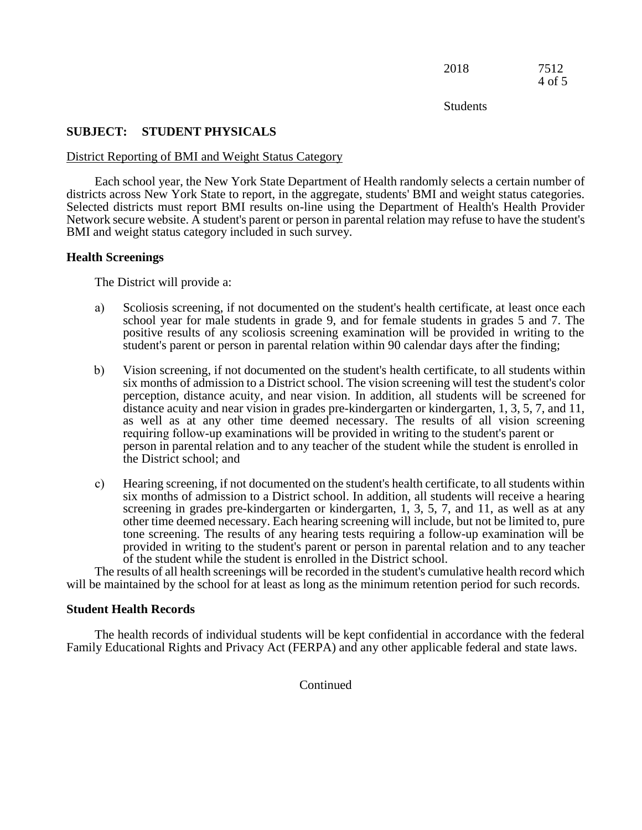2018 7512 4 of 5

Students

### **SUBJECT: STUDENT PHYSICALS**

#### District Reporting of BMI and Weight Status Category

Each school year, the New York State Department of Health randomly selects a certain number of districts across New York State to report, in the aggregate, students' BMI and weight status categories. Selected districts must report BMI results on-line using the Department of Health's Health Provider Network secure website. A student's parent or person in parental relation may refuse to have the student's BMI and weight status category included in such survey.

### **Health Screenings**

The District will provide a:

- a) Scoliosis screening, if not documented on the student's health certificate, at least once each school year for male students in grade 9, and for female students in grades 5 and 7. The positive results of any scoliosis screening examination will be provided in writing to the student's parent or person in parental relation within 90 calendar days after the finding;
- b) Vision screening, if not documented on the student's health certificate, to all students within six months of admission to a District school. The vision screening will test the student's color perception, distance acuity, and near vision. In addition, all students will be screened for distance acuity and near vision in grades pre-kindergarten or kindergarten, 1, 3, 5, 7, and 11, as well as at any other time deemed necessary. The results of all vision screening requiring follow-up examinations will be provided in writing to the student's parent or person in parental relation and to any teacher of the student while the student is enrolled in the District school; and
- c) Hearing screening, if not documented on the student's health certificate, to all students within six months of admission to a District school. In addition, all students will receive a hearing screening in grades pre-kindergarten or kindergarten, 1, 3, 5, 7, and 11, as well as at any other time deemed necessary. Each hearing screening will include, but not be limited to, pure tone screening. The results of any hearing tests requiring a follow-up examination will be provided in writing to the student's parent or person in parental relation and to any teacher of the student while the student is enrolled in the District school.

The results of all health screenings will be recorded in the student's cumulative health record which will be maintained by the school for at least as long as the minimum retention period for such records.

### **Student Health Records**

The health records of individual students will be kept confidential in accordance with the federal Family Educational Rights and Privacy Act (FERPA) and any other applicable federal and state laws.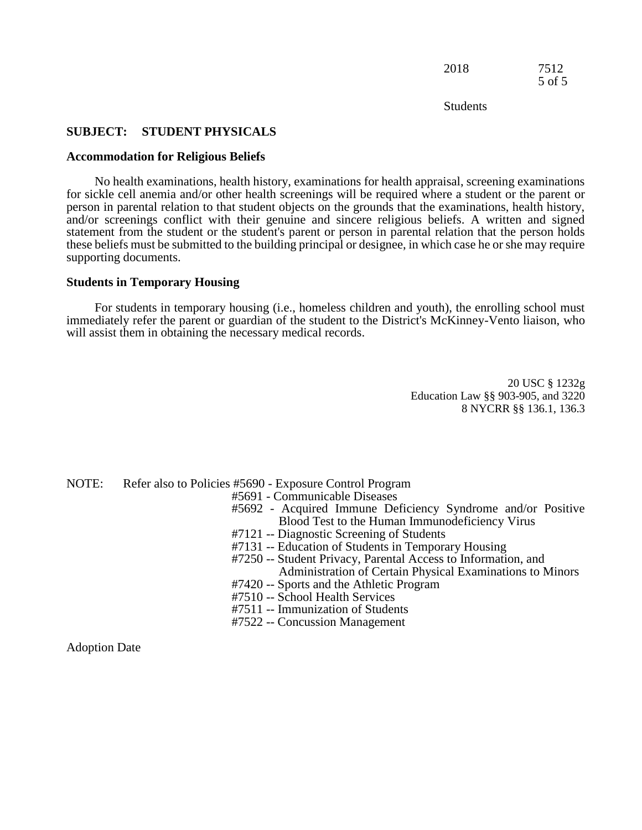2018 7512 5 of 5

Students

### **SUBJECT: STUDENT PHYSICALS**

#### **Accommodation for Religious Beliefs**

No health examinations, health history, examinations for health appraisal, screening examinations for sickle cell anemia and/or other health screenings will be required where a student or the parent or person in parental relation to that student objects on the grounds that the examinations, health history, and/or screenings conflict with their genuine and sincere religious beliefs. A written and signed statement from the student or the student's parent or person in parental relation that the person holds these beliefs must be submitted to the building principal or designee, in which case he or she may require supporting documents.

#### **Students in Temporary Housing**

For students in temporary housing (i.e., homeless children and youth), the enrolling school must immediately refer the parent or guardian of the student to the District's McKinney-Vento liaison, who will assist them in obtaining the necessary medical records.

> 20 USC § 1232g Education Law §§ 903-905, and 3220 8 NYCRR §§ 136.1, 136.3

NOTE: Refer also to Policies #5690 - Exposure Control Program

- #5691 Communicable Diseases
- #5692 Acquired Immune Deficiency Syndrome and/or Positive Blood Test to the Human Immunodeficiency Virus
- #7121 -- Diagnostic Screening of Students
- #7131 -- Education of Students in Temporary Housing
- #7250 -- Student Privacy, Parental Access to Information, and Administration of Certain Physical Examinations to Minors
- #7420 -- Sports and the Athletic Program
- #7510 -- School Health Services
- #7511 -- Immunization of Students
- #7522 -- Concussion Management

Adoption Date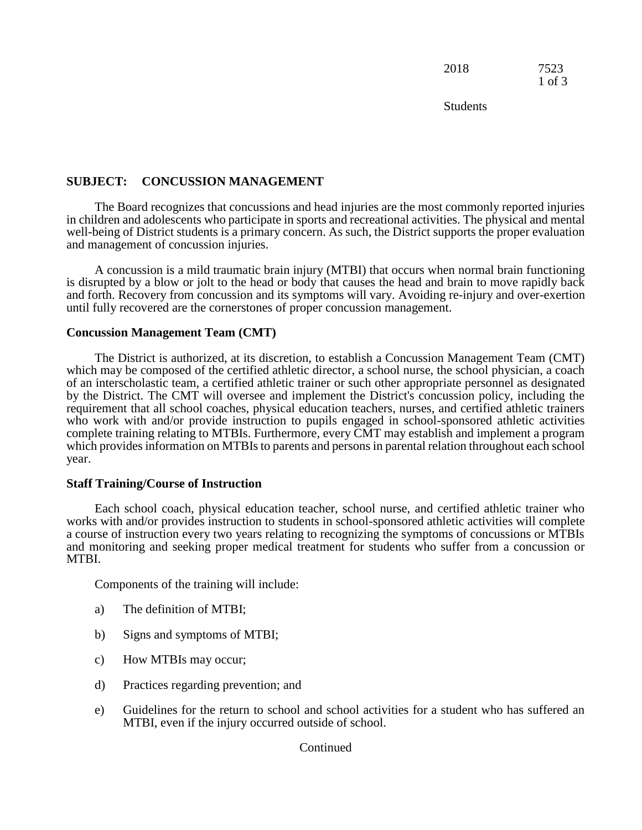2018 7523 1 of 3

Students

# **SUBJECT: CONCUSSION MANAGEMENT**

The Board recognizes that concussions and head injuries are the most commonly reported injuries in children and adolescents who participate in sports and recreational activities. The physical and mental well-being of District students is a primary concern. As such, the District supports the proper evaluation and management of concussion injuries.

A concussion is a mild traumatic brain injury (MTBI) that occurs when normal brain functioning is disrupted by a blow or jolt to the head or body that causes the head and brain to move rapidly back and forth. Recovery from concussion and its symptoms will vary*.* Avoiding re-injury and over-exertion until fully recovered are the cornerstones of proper concussion management.

### **Concussion Management Team (CMT)**

The District is authorized, at its discretion, to establish a Concussion Management Team (CMT) which may be composed of the certified athletic director, a school nurse, the school physician, a coach of an interscholastic team, a certified athletic trainer or such other appropriate personnel as designated by the District. The CMT will oversee and implement the District's concussion policy, including the requirement that all school coaches, physical education teachers, nurses, and certified athletic trainers who work with and/or provide instruction to pupils engaged in school-sponsored athletic activities complete training relating to MTBIs. Furthermore, every CMT may establish and implement a program which provides information on MTBIs to parents and persons in parental relation throughout each school year.

### **Staff Training/Course of Instruction**

Each school coach, physical education teacher, school nurse, and certified athletic trainer who works with and/or provides instruction to students in school-sponsored athletic activities will complete a course of instruction every two years relating to recognizing the symptoms of concussions or MTBIs and monitoring and seeking proper medical treatment for students who suffer from a concussion or MTBI.

Components of the training will include:

- a) The definition of MTBI;
- b) Signs and symptoms of MTBI;
- c) How MTBIs may occur;
- d) Practices regarding prevention; and
- e) Guidelines for the return to school and school activities for a student who has suffered an MTBI, even if the injury occurred outside of school.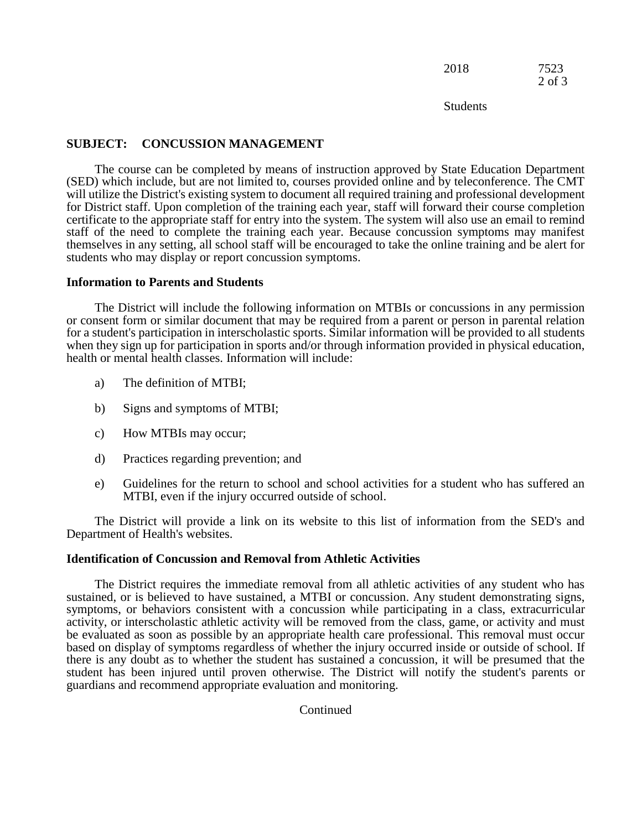| 2018 | 7523   |
|------|--------|
|      | 2 of 3 |

### **SUBJECT: CONCUSSION MANAGEMENT**

The course can be completed by means of instruction approved by State Education Department (SED) which include, but are not limited to, courses provided online and by teleconference. The CMT will utilize the District's existing system to document all required training and professional development for District staff. Upon completion of the training each year, staff will forward their course completion certificate to the appropriate staff for entry into the system. The system will also use an email to remind staff of the need to complete the training each year. Because concussion symptoms may manifest themselves in any setting, all school staff will be encouraged to take the online training and be alert for students who may display or report concussion symptoms.

#### **Information to Parents and Students**

The District will include the following information on MTBIs or concussions in any permission or consent form or similar document that may be required from a parent or person in parental relation for a student's participation in interscholastic sports. Similar information will be provided to all students when they sign up for participation in sports and/or through information provided in physical education, health or mental health classes. Information will include:

- a) The definition of MTBI;
- b) Signs and symptoms of MTBI;
- c) How MTBIs may occur;
- d) Practices regarding prevention; and
- e) Guidelines for the return to school and school activities for a student who has suffered an MTBI, even if the injury occurred outside of school.

The District will provide a link on its website to this list of information from the SED's and Department of Health's websites.

### **Identification of Concussion and Removal from Athletic Activities**

The District requires the immediate removal from all athletic activities of any student who has sustained, or is believed to have sustained, a MTBI or concussion. Any student demonstrating signs, symptoms, or behaviors consistent with a concussion while participating in a class, extracurricular activity, or interscholastic athletic activity will be removed from the class, game, or activity and must be evaluated as soon as possible by an appropriate health care professional. This removal must occur based on display of symptoms regardless of whether the injury occurred inside or outside of school. If there is any doubt as to whether the student has sustained a concussion, it will be presumed that the student has been injured until proven otherwise. The District will notify the student's parents or guardians and recommend appropriate evaluation and monitoring.